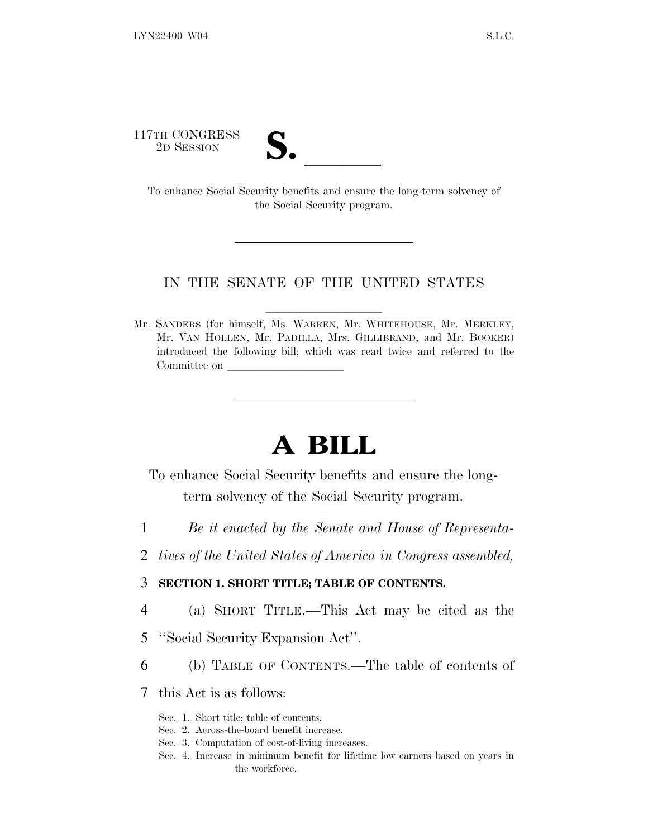117TH CONGRESS<br>2D SESSION



TH CONGRESS<br>
2D SESSION<br>
To enhance Social Security benefits and ensure the long-term solvency of the Social Security program.

### IN THE SENATE OF THE UNITED STATES

Mr. SANDERS (for himself, Ms. WARREN, Mr. WHITEHOUSE, Mr. MERKLEY, Mr. VAN HOLLEN, Mr. PADILLA, Mrs. GILLIBRAND, and Mr. BOOKER) introduced the following bill; which was read twice and referred to the Committee on

# **A BILL**

To enhance Social Security benefits and ensure the longterm solvency of the Social Security program.

- 1 *Be it enacted by the Senate and House of Representa-*
- 2 *tives of the United States of America in Congress assembled,*

### 3 **SECTION 1. SHORT TITLE; TABLE OF CONTENTS.**

- 4 (a) SHORT TITLE.—This Act may be cited as the
- 5 ''Social Security Expansion Act''.
- 6 (b) TABLE OF CONTENTS.—The table of contents of
- 7 this Act is as follows:
	- Sec. 1. Short title; table of contents.
	- Sec. 2. Across-the-board benefit increase.
	- Sec. 3. Computation of cost-of-living increases.
	- Sec. 4. Increase in minimum benefit for lifetime low earners based on years in the workforce.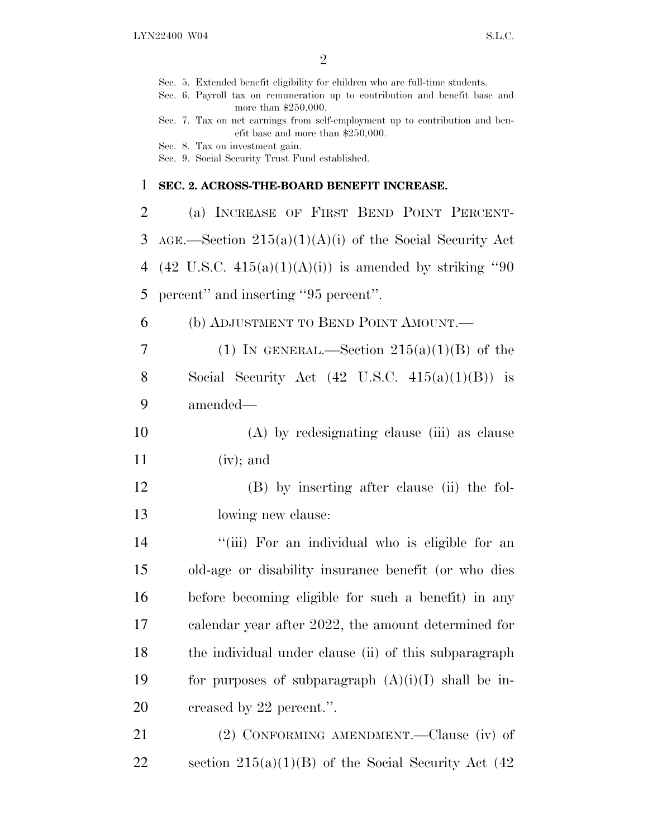|                | Sec. 5. Extended benefit eligibility for children who are full-time students.<br>Sec. 6. Payroll tax on remuneration up to contribution and benefit base and |
|----------------|--------------------------------------------------------------------------------------------------------------------------------------------------------------|
|                | more than $$250,000$ .<br>Sec. 7. Tax on net earnings from self-employment up to contribution and ben-                                                       |
|                | efit base and more than $$250,000$ .<br>Sec. 8. Tax on investment gain.<br>Sec. 9. Social Security Trust Fund established.                                   |
| $\mathbf 1$    | SEC. 2. ACROSS-THE-BOARD BENEFIT INCREASE.                                                                                                                   |
|                |                                                                                                                                                              |
| $\overline{2}$ | (a) INCREASE OF FIRST BEND POINT PERCENT-                                                                                                                    |
| 3              | $AGE$ . Section $215(a)(1)(A)(i)$ of the Social Security Act                                                                                                 |
| 4              | $(42 \text{ U.S.C. } 415(a)(1)(A)(i))$ is amended by striking "90                                                                                            |
| 5              | percent" and inserting "95 percent".                                                                                                                         |
| 6              | (b) ADJUSTMENT TO BEND POINT AMOUNT.—                                                                                                                        |
| 7              | (1) IN GENERAL.—Section $215(a)(1)(B)$ of the                                                                                                                |
| 8              | Social Security Act $(42 \text{ U.S.C. } 415(a)(1)(B))$ is                                                                                                   |
| 9              | amended—                                                                                                                                                     |
| 10             | (A) by redesignating clause (iii) as clause                                                                                                                  |
| 11             | $(iv);$ and                                                                                                                                                  |
| 12             | (B) by inserting after clause (ii) the fol-                                                                                                                  |
| 13             | lowing new clause:                                                                                                                                           |
| 14             | "(iii) For an individual who is eligible for an                                                                                                              |
| 15             | old-age or disability insurance benefit (or who dies                                                                                                         |
| 16             | before becoming eligible for such a benefit) in any                                                                                                          |
| 17             | calendar year after 2022, the amount determined for                                                                                                          |
| 18             | the individual under clause (ii) of this subparagraph                                                                                                        |
| 19             | for purposes of subparagraph $(A)(i)(I)$ shall be in-                                                                                                        |
| 20             | creased by 22 percent.".                                                                                                                                     |
| 21             | (2) CONFORMING AMENDMENT.—Clause (iv) of                                                                                                                     |
| 22             | section $215(a)(1)(B)$ of the Social Security Act (42)                                                                                                       |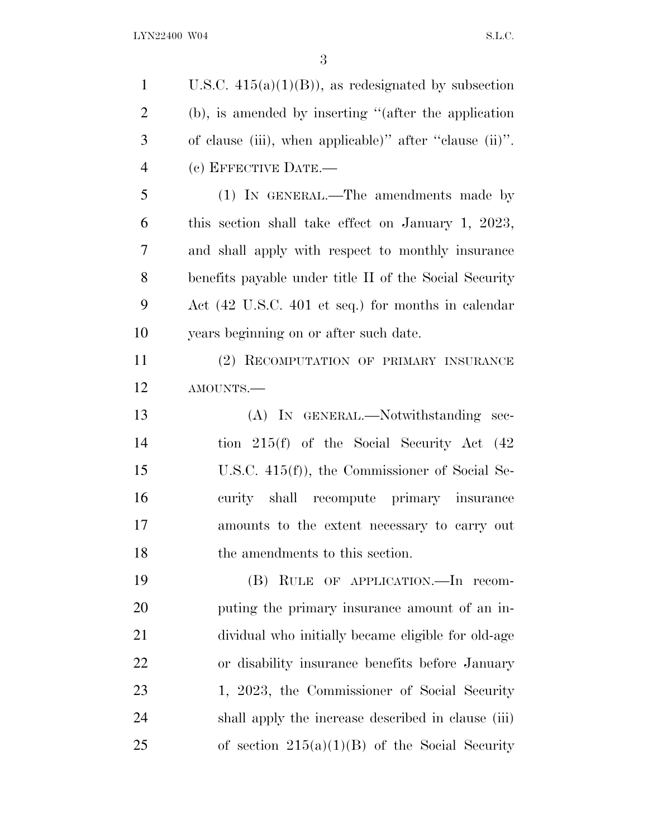1 U.S.C.  $415(a)(1)(B)$ , as redesignated by subsection (b), is amended by inserting ''(after the application of clause (iii), when applicable)'' after ''clause (ii)''. (c) EFFECTIVE DATE.— (1) IN GENERAL.—The amendments made by this section shall take effect on January 1, 2023, and shall apply with respect to monthly insurance benefits payable under title II of the Social Security Act (42 U.S.C. 401 et seq.) for months in calendar years beginning on or after such date. (2) RECOMPUTATION OF PRIMARY INSURANCE AMOUNTS.— (A) IN GENERAL.—Notwithstanding sec- tion 215(f) of the Social Security Act (42 U.S.C. 415(f)), the Commissioner of Social Se- curity shall recompute primary insurance amounts to the extent necessary to carry out 18 the amendments to this section. (B) RULE OF APPLICATION.—In recom- puting the primary insurance amount of an in- dividual who initially became eligible for old-age or disability insurance benefits before January 23 1, 2023, the Commissioner of Social Security shall apply the increase described in clause (iii) 25 of section  $215(a)(1)(B)$  of the Social Security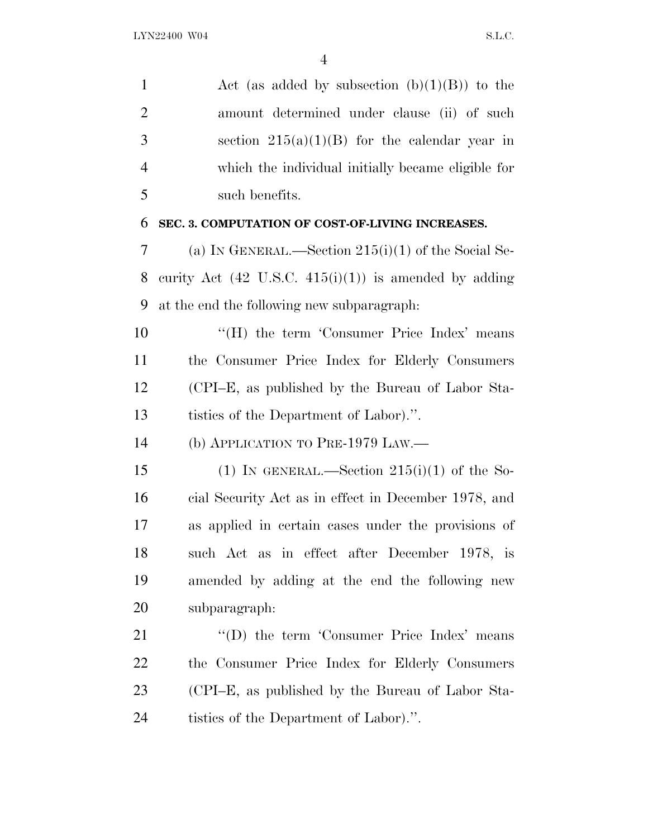1 Act (as added by subsection  $(b)(1)(B)$ ) to the amount determined under clause (ii) of such 3 section  $215(a)(1)(B)$  for the calendar year in which the individual initially became eligible for such benefits. **SEC. 3. COMPUTATION OF COST-OF-LIVING INCREASES.** (a) I<sup>N</sup> GENERAL.—Section 215(i)(1) of the Social Se-8 curity Act  $(42 \text{ U.S.C. } 415(i)(1))$  is amended by adding at the end the following new subparagraph: 10 "(H) the term 'Consumer Price Index' means the Consumer Price Index for Elderly Consumers (CPI–E, as published by the Bureau of Labor Sta- tistics of the Department of Labor).''. (b) APPLICATION TO PRE-1979 LAW.— 15 (1) IN GENERAL.—Section  $215(i)(1)$  of the So- cial Security Act as in effect in December 1978, and as applied in certain cases under the provisions of such Act as in effect after December 1978, is amended by adding at the end the following new subparagraph: 21 "(D) the term 'Consumer Price Index' means the Consumer Price Index for Elderly Consumers (CPI–E, as published by the Bureau of Labor Sta-tistics of the Department of Labor).''.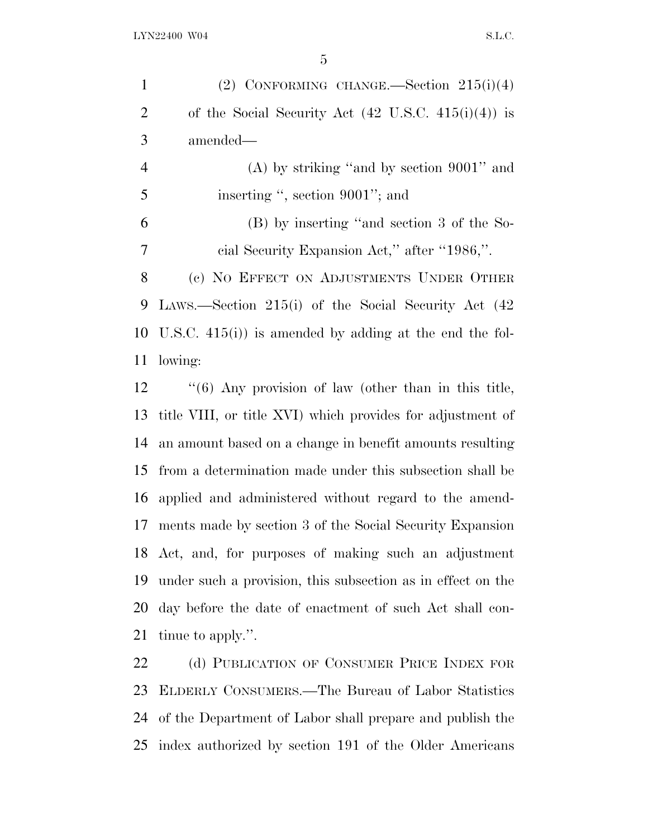| $\mathbf{1}$   | (2) CONFORMING CHANGE.—Section $215(i)(4)$                     |
|----------------|----------------------------------------------------------------|
| $\overline{2}$ | of the Social Security Act $(42 \text{ U.S.C. } 415(i)(4))$ is |
| 3              | amended—                                                       |
| $\overline{4}$ | $(A)$ by striking "and by section 9001" and                    |
| 5              | inserting ", section 9001"; and                                |
| 6              | (B) by inserting "and section 3 of the So-                     |
| 7              | cial Security Expansion Act," after "1986,".                   |
| 8              | (c) NO EFFECT ON ADJUSTMENTS UNDER OTHER                       |
| 9              | LAWS.—Section 215(i) of the Social Security Act (42)           |
|                | 10 U.S.C. $415(i)$ is amended by adding at the end the fol-    |
| 11             | lowing:                                                        |
| 12             | $\lq(6)$ Any provision of law (other than in this title,       |
| 13             | title VIII, or title XVI) which provides for adjustment of     |
| 14             | an amount based on a change in benefit amounts resulting       |
| 15             | from a determination made under this subsection shall be       |

tinue to apply.''.

22 (d) PUBLICATION OF CONSUMER PRICE INDEX FOR ELDERLY CONSUMERS.—The Bureau of Labor Statistics of the Department of Labor shall prepare and publish the index authorized by section 191 of the Older Americans

applied and administered without regard to the amend-

ments made by section 3 of the Social Security Expansion

Act, and, for purposes of making such an adjustment

under such a provision, this subsection as in effect on the

day before the date of enactment of such Act shall con-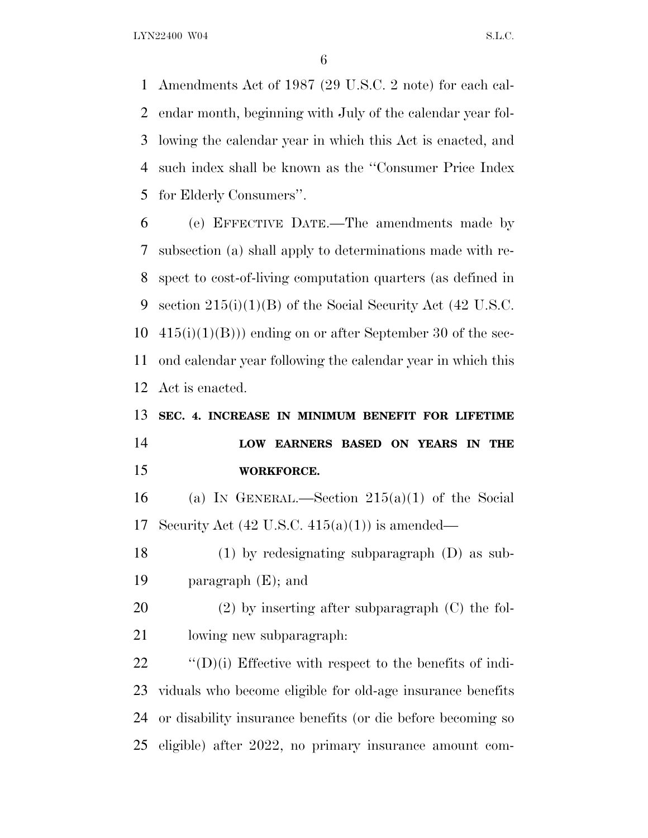Amendments Act of 1987 (29 U.S.C. 2 note) for each cal- endar month, beginning with July of the calendar year fol- lowing the calendar year in which this Act is enacted, and such index shall be known as the ''Consumer Price Index for Elderly Consumers''.

 (e) EFFECTIVE DATE.—The amendments made by subsection (a) shall apply to determinations made with re- spect to cost-of-living computation quarters (as defined in section 215(i)(1)(B) of the Social Security Act (42 U.S.C.  $10\quad 415(i)(1)(B))$  ending on or after September 30 of the sec- ond calendar year following the calendar year in which this Act is enacted.

## **SEC. 4. INCREASE IN MINIMUM BENEFIT FOR LIFETIME LOW EARNERS BASED ON YEARS IN THE WORKFORCE.**

16 (a) IN GENERAL.—Section  $215(a)(1)$  of the Social 17 Security Act  $(42 \text{ U.S.C. } 415(a)(1))$  is amended—

 (1) by redesignating subparagraph (D) as sub-paragraph (E); and

 (2) by inserting after subparagraph (C) the fol-lowing new subparagraph:

  $\text{``(D)(i)}$  Effective with respect to the benefits of indi- viduals who become eligible for old-age insurance benefits or disability insurance benefits (or die before becoming so eligible) after 2022, no primary insurance amount com-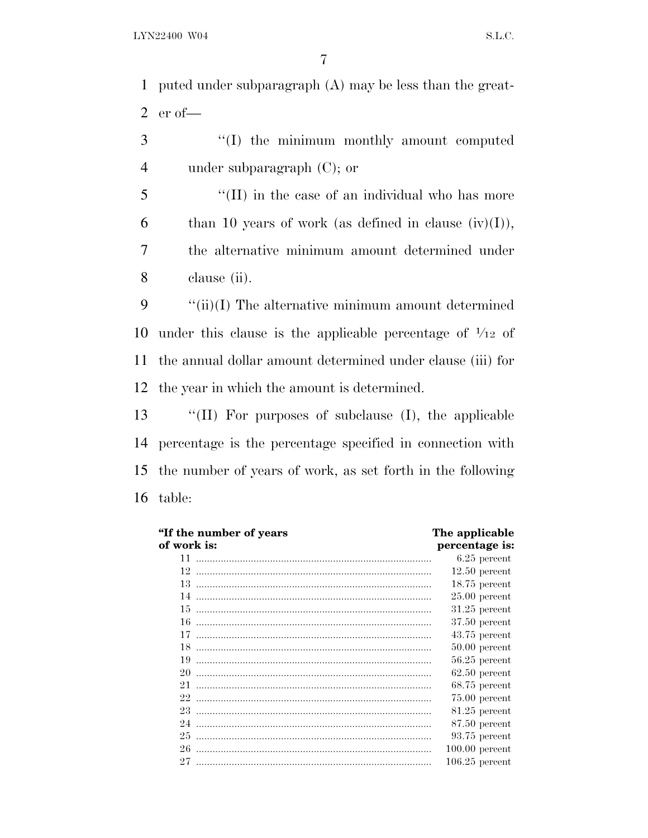puted under subparagraph (A) may be less than the great-er of—

 ''(I) the minimum monthly amount computed under subparagraph (C); or

5 "(II) in the case of an individual who has more 6 than 10 years of work (as defined in clause  $(iv)(I)$ ), the alternative minimum amount determined under clause (ii).

 $\qquad$  "(ii)(I) The alternative minimum amount determined 10 under this clause is the applicable percentage of  $\frac{1}{12}$  of the annual dollar amount determined under clause (iii) for the year in which the amount is determined.

 ''(II) For purposes of subclause (I), the applicable percentage is the percentage specified in connection with the number of years of work, as set forth in the following table:

| "If the number of years" | The applicable   |
|--------------------------|------------------|
| of work is:              | percentage is:   |
| 11                       | $6.25$ percent   |
| 12                       | $12.50$ percent  |
| 13.                      | $18.75$ percent  |
| 14                       | $25.00$ percent  |
| 15                       | $31.25$ percent  |
| 16                       | $37.50$ percent  |
| 17                       | $43.75$ percent  |
| 18                       | $50.00$ percent  |
| 19                       | $56.25$ percent  |
| 20                       | $62.50$ percent  |
| 21.                      | $68.75$ percent  |
| 22                       | $75.00$ percent  |
| 23                       | $81.25$ percent  |
| 24                       | $87.50$ percent  |
| 25                       | $93.75$ percent  |
| 26                       | $100.00$ percent |
| 27                       | $106.25$ percent |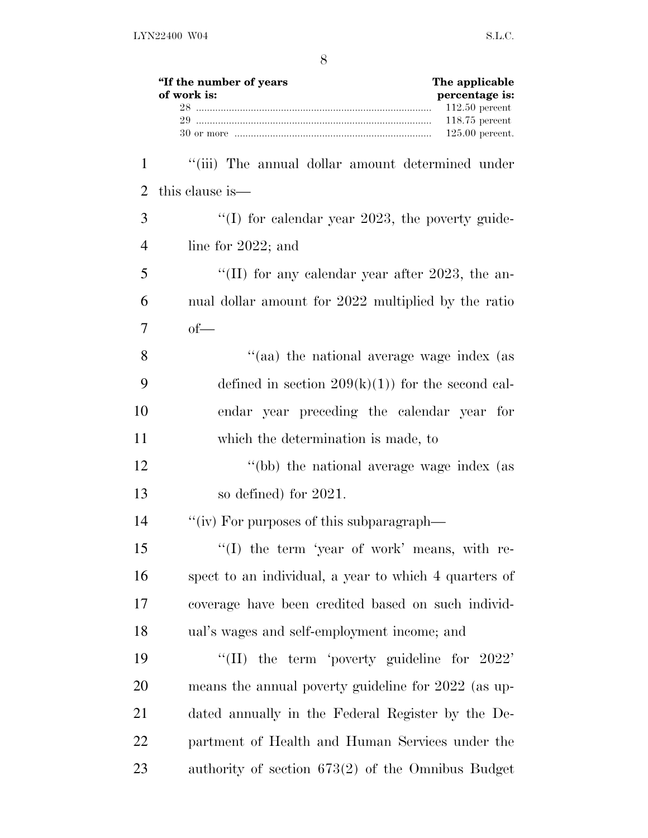|              | "If the number of years<br>The applicable<br>of work is:<br>percentage is: |
|--------------|----------------------------------------------------------------------------|
|              | $112.50$ percent<br>$118.75$ percent<br>$125.00$ percent.                  |
| $\mathbf{1}$ | "(iii) The annual dollar amount determined under                           |
| 2            | this clause is—                                                            |
| 3            | "(I) for calendar year 2023, the poverty guide-                            |
| 4            | line for $2022$ ; and                                                      |
| 5            | "(II) for any calendar year after 2023, the an-                            |
| 6            | nual dollar amount for 2022 multiplied by the ratio                        |
| 7            | $of$ —                                                                     |
| 8            | "(aa) the national average wage index (as                                  |
| 9            | defined in section $209(k)(1)$ for the second cal-                         |
| 10           | endar year preceding the calendar year for                                 |
| 11           | which the determination is made, to                                        |
| 12           | "(bb) the national average wage index (as                                  |
| 13           | so defined) for 2021.                                                      |
| 14           | "(iv) For purposes of this subparagraph—                                   |
| 15           | "(I) the term 'year of work' means, with re-                               |
| 16           | spect to an individual, a year to which 4 quarters of                      |
| 17           | coverage have been credited based on such individ-                         |
| 18           | ual's wages and self-employment income; and                                |
| 19           | "(II) the term 'poverty guideline for $2022$ "                             |
| 20           | means the annual poverty guideline for 2022 (as up-                        |
| 21           | dated annually in the Federal Register by the De-                          |
| 22           | partment of Health and Human Services under the                            |
| 23           | authority of section $673(2)$ of the Omnibus Budget                        |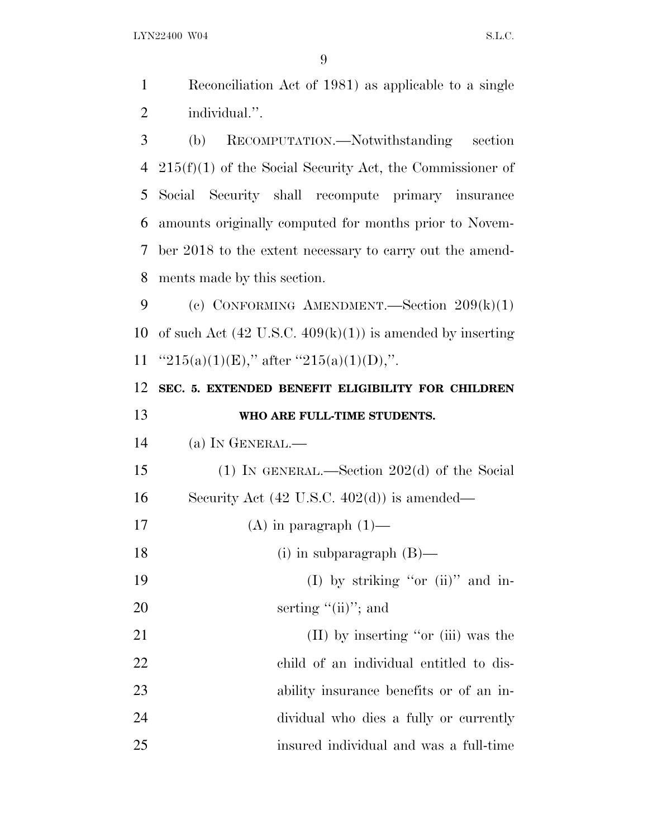Reconciliation Act of 1981) as applicable to a single individual.''. (b) RECOMPUTATION.—Notwithstanding section 215(f)(1) of the Social Security Act, the Commissioner of Social Security shall recompute primary insurance

 amounts originally computed for months prior to Novem- ber 2018 to the extent necessary to carry out the amend-ments made by this section.

 (c) CONFORMING AMENDMENT.—Section 209(k)(1) 10 of such Act  $(42 \text{ U.S.C. } 409(k)(1))$  is amended by inserting 11  $"215(a)(1)(E),"$  after  $"215(a)(1)(D),"$ .

 **SEC. 5. EXTENDED BENEFIT ELIGIBILITY FOR CHILDREN WHO ARE FULL-TIME STUDENTS.** (a) I<sup>N</sup> GENERAL.— (1) IN GENERAL.—Section 202(d) of the Social

Security Act (42 U.S.C. 402(d)) is amended—

17 (A) in paragraph  $(1)$ —

18 (i) in subparagraph (B)—

19 (I) by striking "or (ii)" and in-20 serting "(ii)"; and

21 (II) by inserting "or (iii) was the child of an individual entitled to dis- ability insurance benefits or of an in- dividual who dies a fully or currently insured individual and was a full-time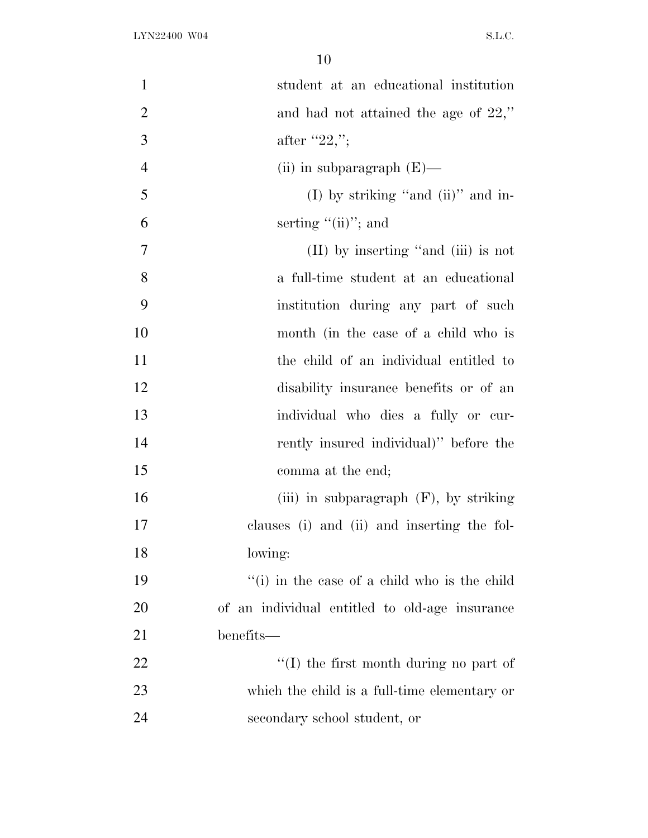| $\mathbf{1}$   | student at an educational institution          |
|----------------|------------------------------------------------|
| $\overline{2}$ | and had not attained the age of $22$ ,"        |
| 3              | after "22,";                                   |
| $\overline{4}$ | (ii) in subparagraph $(E)$ —                   |
| 5              | (I) by striking "and (ii)" and in-             |
| 6              | serting $"(\text{ii})"$ ; and                  |
| 7              | $(II)$ by inserting "and $(iii)$ is not        |
| 8              | a full-time student at an educational          |
| 9              | institution during any part of such            |
| 10             | month (in the case of a child who is           |
| 11             | the child of an individual entitled to         |
| 12             | disability insurance benefits or of an         |
| 13             | individual who dies a fully or cur-            |
| 14             | rently insured individual)" before the         |
| 15             | comma at the end;                              |
| 16             | (iii) in subparagraph $(F)$ , by striking      |
| 17             | clauses (i) and (ii) and inserting the fol-    |
| 18             | lowing:                                        |
| 19             | "(i) in the case of a child who is the child   |
| 20             | of an individual entitled to old-age insurance |
| 21             | benefits—                                      |
| 22             | $\lq\lq$ the first month during no part of     |
| 23             | which the child is a full-time elementary or   |
| 24             | secondary school student, or                   |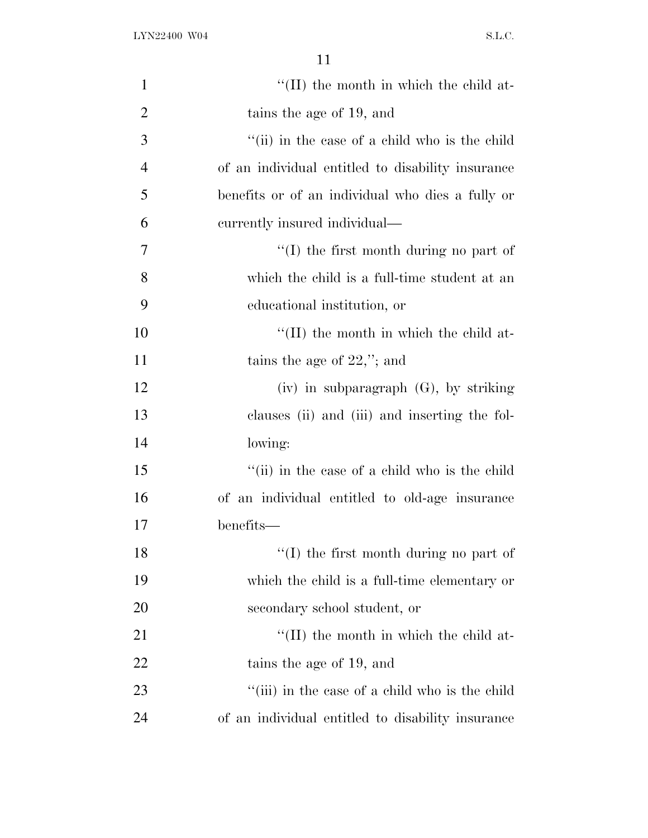| $\mathbf{1}$   | $\lq$ (II) the month in which the child at-       |
|----------------|---------------------------------------------------|
| $\overline{2}$ | tains the age of 19, and                          |
| 3              | "(ii) in the case of a child who is the child     |
| $\overline{4}$ | of an individual entitled to disability insurance |
| 5              | benefits or of an individual who dies a fully or  |
| 6              | currently insured individual—                     |
| 7              | $\lq(1)$ the first month during no part of        |
| 8              | which the child is a full-time student at an      |
| 9              | educational institution, or                       |
| 10             | $\lq$ (II) the month in which the child at-       |
| 11             | tains the age of $22$ ,"; and                     |
| 12             | $(iv)$ in subparagraph $(G)$ , by striking        |
| 13             | clauses (ii) and (iii) and inserting the fol-     |
| 14             | lowing:                                           |
| 15             | "(ii) in the case of a child who is the child     |
| 16             | of an individual entitled to old-age insurance    |
| 17             | benefits—                                         |
| 18             | $\lq\lq$ the first month during no part of        |
| 19             | which the child is a full-time elementary or      |
| 20             | secondary school student, or                      |
| 21             | "(II) the month in which the child at-            |
| 22             | tains the age of 19, and                          |
| 23             | "(iii) in the case of a child who is the child    |
| 24             | of an individual entitled to disability insurance |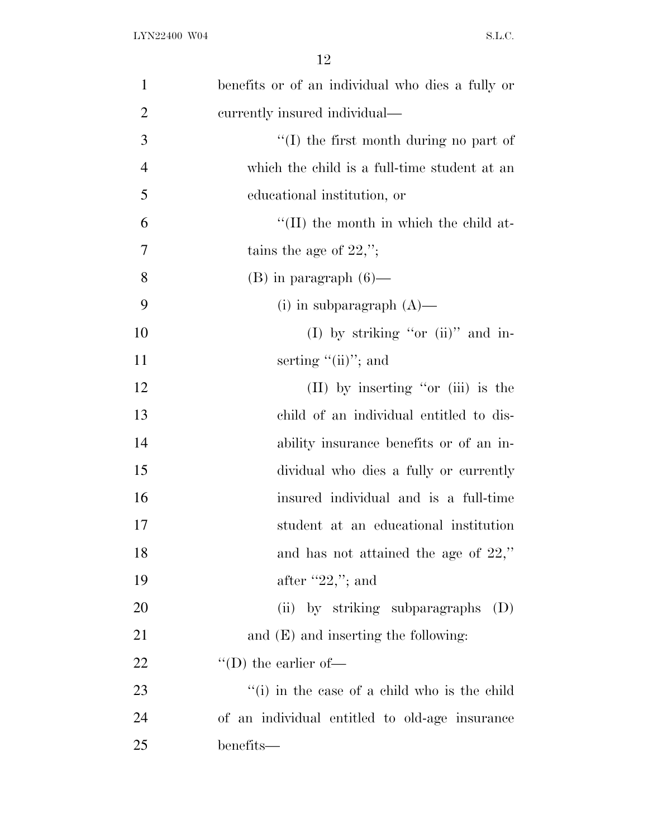| $\mathbf{1}$   | benefits or of an individual who dies a fully or |
|----------------|--------------------------------------------------|
| $\overline{2}$ | currently insured individual—                    |
| 3              | "(I) the first month during no part of           |
| $\overline{4}$ | which the child is a full-time student at an     |
| 5              | educational institution, or                      |
| 6              | $\lq\lq$ (II) the month in which the child at-   |
| 7              | tains the age of $22$ ,";                        |
| 8              | $(B)$ in paragraph $(6)$ —                       |
| 9              | (i) in subparagraph $(A)$ —                      |
| 10             | (I) by striking "or (ii)" and in-                |
| 11             | serting $"(\text{ii})"$ ; and                    |
| 12             | $(II)$ by inserting "or $(iii)$ is the           |
| 13             | child of an individual entitled to dis-          |
| 14             | ability insurance benefits or of an in-          |
| 15             | dividual who dies a fully or currently           |
| 16             | insured individual and is a full-time            |
| 17             | student at an educational institution            |
| 18             | and has not attained the age of $22$ ,"          |
| 19             | after $"22,"$ ; and                              |
| 20             | (ii) by striking subparagraphs<br>(D)            |
| 21             | and $(E)$ and inserting the following:           |
| <u>22</u>      | $\lq\lq$ (D) the earlier of —                    |
| 23             | "(i) in the case of a child who is the child     |
| 24             | of an individual entitled to old-age insurance   |
| 25             | benefits—                                        |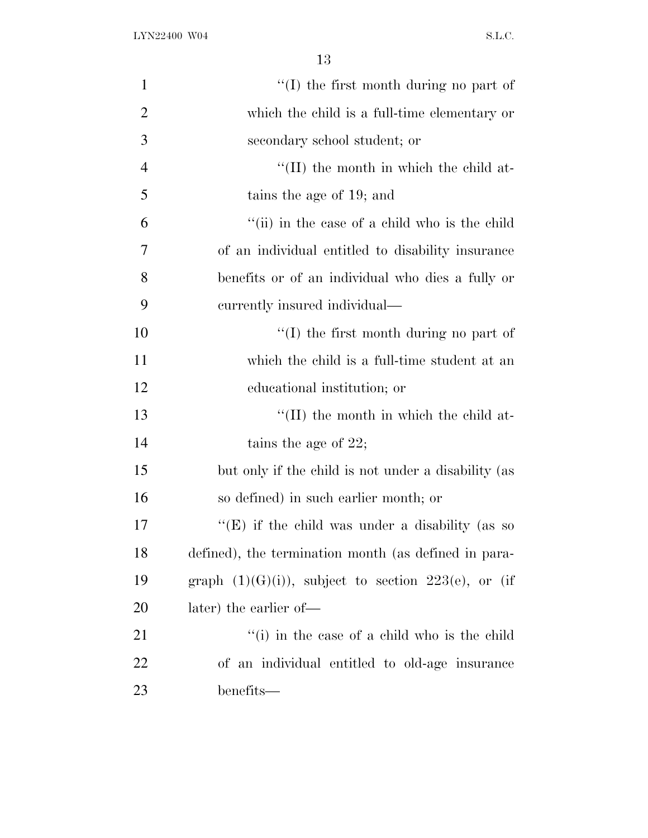| 1              | $\lq\lq$ the first month during no part of               |
|----------------|----------------------------------------------------------|
| $\overline{2}$ | which the child is a full-time elementary or             |
| 3              | secondary school student; or                             |
| $\overline{4}$ | $\lq$ (II) the month in which the child at-              |
| 5              | tains the age of 19; and                                 |
| 6              | "(ii) in the case of a child who is the child            |
| 7              | of an individual entitled to disability insurance        |
| 8              | benefits or of an individual who dies a fully or         |
| 9              | currently insured individual—                            |
| 10             | $\lq (I)$ the first month during no part of              |
| 11             | which the child is a full-time student at an             |
| 12             | educational institution; or                              |
| 13             | $\lq$ (II) the month in which the child at-              |
| 14             | tains the age of $22$ ;                                  |
| 15             | but only if the child is not under a disability (as      |
| 16             | so defined) in such earlier month; or                    |
| 17             | "(E) if the child was under a disability (as so          |
| 18             | defined), the termination month (as defined in para-     |
| 19             | graph $(1)(G)(i)$ , subject to section $223(e)$ , or (if |
| <b>20</b>      | later) the earlier of—                                   |
| 21             | "(i) in the case of a child who is the child             |
| 22             | of an individual entitled to old-age insurance           |
| 23             | benefits—                                                |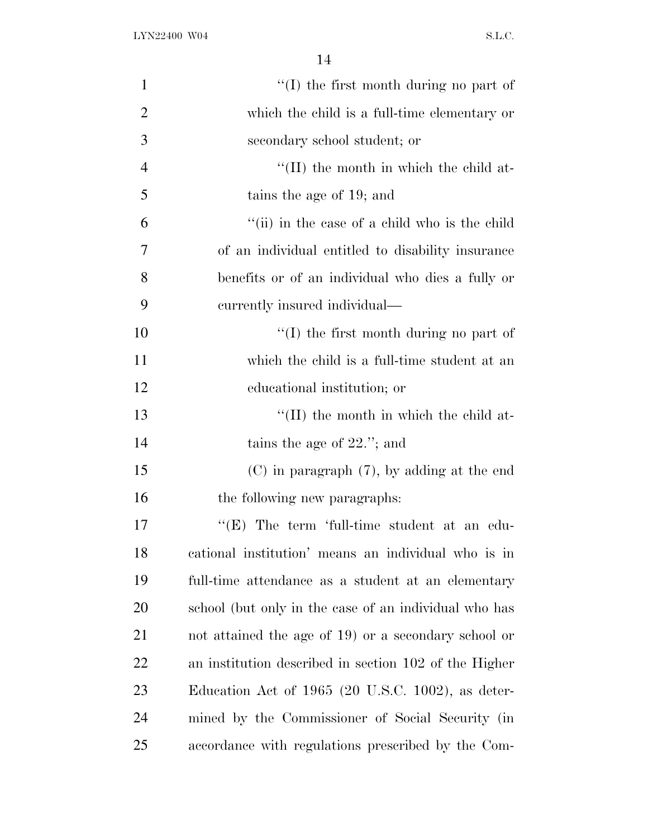| $\mathbf{1}$   | $\lq\lq$ the first month during no part of            |
|----------------|-------------------------------------------------------|
| $\overline{2}$ | which the child is a full-time elementary or          |
| 3              | secondary school student; or                          |
| $\overline{4}$ | $\lq\lq$ (II) the month in which the child at-        |
| 5              | tains the age of 19; and                              |
| 6              | "(ii) in the case of a child who is the child         |
| 7              | of an individual entitled to disability insurance     |
| 8              | benefits or of an individual who dies a fully or      |
| 9              | currently insured individual—                         |
| 10             | $\lq\lq$ the first month during no part of            |
| 11             | which the child is a full-time student at an          |
| 12             | educational institution; or                           |
| 13             | $\lq$ (II) the month in which the child at-           |
| 14             | tains the age of $22$ ."; and                         |
| 15             | $(C)$ in paragraph $(7)$ , by adding at the end       |
| 16             | the following new paragraphs:                         |
| 17             | " $(E)$ The term 'full-time student at an edu-        |
| 18             | cational institution' means an individual who is in   |
| 19             | full-time attendance as a student at an elementary    |
| 20             | school (but only in the case of an individual who has |
| 21             | not attained the age of 19) or a secondary school or  |
| <u>22</u>      | an institution described in section 102 of the Higher |
| 23             | Education Act of $1965$ (20 U.S.C. 1002), as deter-   |
| 24             | mined by the Commissioner of Social Security (in      |
| 25             | accordance with regulations prescribed by the Com-    |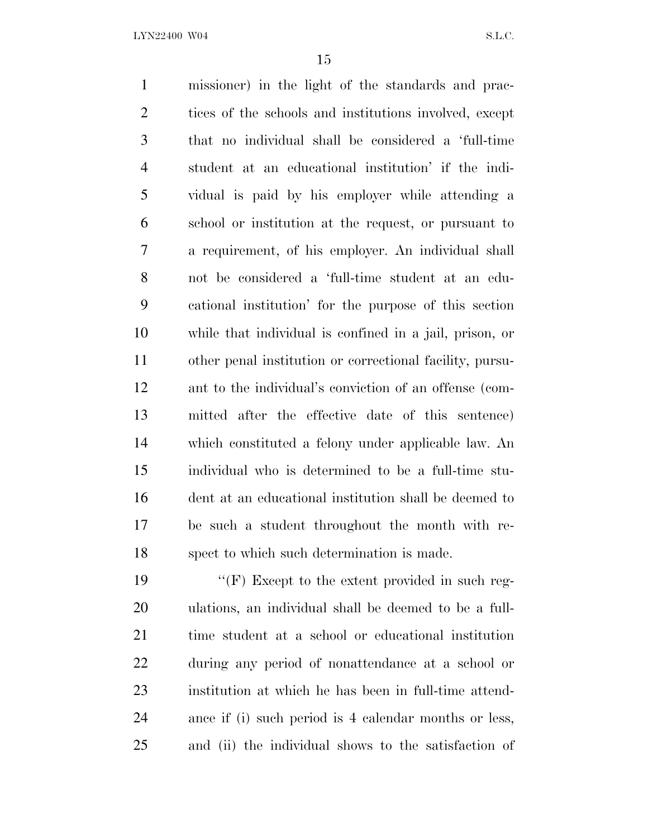missioner) in the light of the standards and prac-2 tices of the schools and institutions involved, except that no individual shall be considered a 'full-time student at an educational institution' if the indi- vidual is paid by his employer while attending a school or institution at the request, or pursuant to a requirement, of his employer. An individual shall not be considered a 'full-time student at an edu- cational institution' for the purpose of this section while that individual is confined in a jail, prison, or other penal institution or correctional facility, pursu- ant to the individual's conviction of an offense (com- mitted after the effective date of this sentence) which constituted a felony under applicable law. An individual who is determined to be a full-time stu- dent at an educational institution shall be deemed to be such a student throughout the month with re-spect to which such determination is made.

19 "'(F) Except to the extent provided in such reg- ulations, an individual shall be deemed to be a full- time student at a school or educational institution during any period of nonattendance at a school or institution at which he has been in full-time attend- ance if (i) such period is 4 calendar months or less, and (ii) the individual shows to the satisfaction of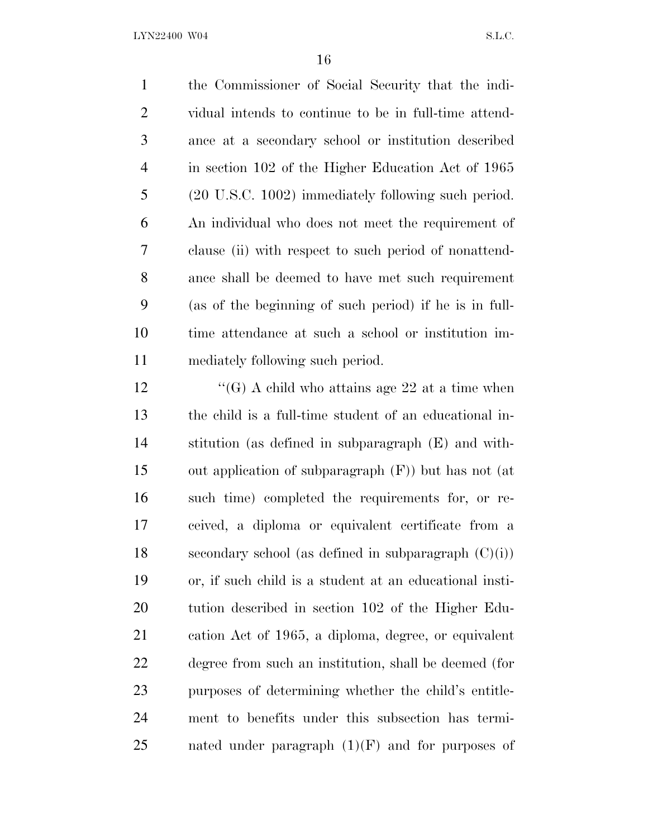the Commissioner of Social Security that the indi- vidual intends to continue to be in full-time attend- ance at a secondary school or institution described in section 102 of the Higher Education Act of 1965 (20 U.S.C. 1002) immediately following such period. An individual who does not meet the requirement of clause (ii) with respect to such period of nonattend- ance shall be deemed to have met such requirement (as of the beginning of such period) if he is in full- time attendance at such a school or institution im-mediately following such period.

 $\langle G \rangle$  A child who attains age 22 at a time when the child is a full-time student of an educational in- stitution (as defined in subparagraph (E) and with- out application of subparagraph (F)) but has not (at such time) completed the requirements for, or re- ceived, a diploma or equivalent certificate from a 18 secondary school (as defined in subparagraph  $(C)(i)$ ) or, if such child is a student at an educational insti- tution described in section 102 of the Higher Edu- cation Act of 1965, a diploma, degree, or equivalent degree from such an institution, shall be deemed (for purposes of determining whether the child's entitle- ment to benefits under this subsection has termi-25 nated under paragraph  $(1)(F)$  and for purposes of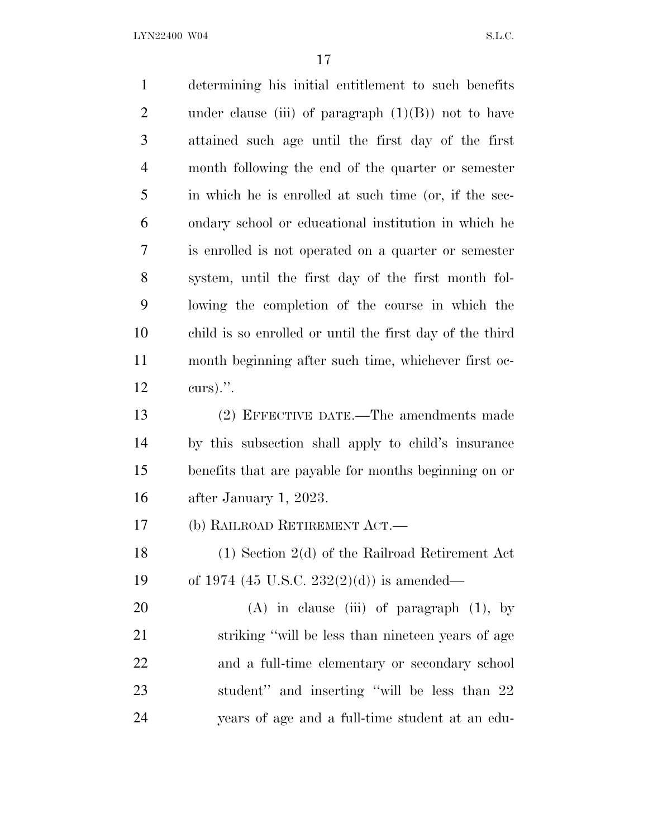determining his initial entitlement to such benefits 2 under clause (iii) of paragraph  $(1)(B)$  not to have attained such age until the first day of the first month following the end of the quarter or semester in which he is enrolled at such time (or, if the sec- ondary school or educational institution in which he is enrolled is not operated on a quarter or semester system, until the first day of the first month fol- lowing the completion of the course in which the child is so enrolled or until the first day of the third month beginning after such time, whichever first oc- curs).''. (2) EFFECTIVE DATE.—The amendments made by this subsection shall apply to child's insurance benefits that are payable for months beginning on or after January 1, 2023. (b) RAILROAD RETIREMENT ACT.— (1) Section 2(d) of the Railroad Retirement Act of 1974 (45 U.S.C. 232(2)(d)) is amended— 20 (A) in clause (iii) of paragraph (1), by striking ''will be less than nineteen years of age and a full-time elementary or secondary school 23 student" and inserting "will be less than 22 years of age and a full-time student at an edu-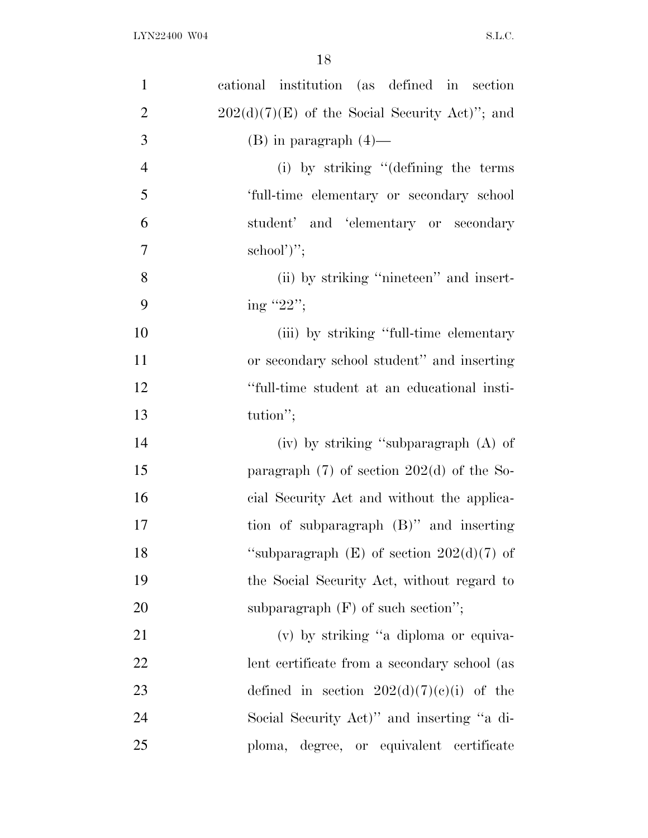| $\mathbf{1}$   | cational institution (as defined in section      |
|----------------|--------------------------------------------------|
| $\overline{2}$ | $202(d)(7)(E)$ of the Social Security Act)"; and |
| 3              | $(B)$ in paragraph $(4)$ —                       |
| $\overline{4}$ | (i) by striking "(defining the terms             |
| 5              | 'full-time elementary or secondary school        |
| 6              | student' and 'elementary or secondary            |
| $\overline{7}$ | $\text{school'}$ ";                              |
| 8              | (ii) by striking "nineteen" and insert-          |
| 9              | ing "22";                                        |
| 10             | (iii) by striking "full-time elementary          |
| 11             | or secondary school student" and inserting       |
| 12             | "full-time student at an educational insti-      |
| 13             | tution";                                         |
| 14             | (iv) by striking "subparagraph (A) of            |
| 15             | paragraph $(7)$ of section $202(d)$ of the So-   |
| 16             | cial Security Act and without the applica-       |
| 17             | tion of subparagraph $(B)$ " and inserting       |
| 18             | "subparagraph $(E)$ of section $202(d)(7)$ of    |
| 19             | the Social Security Act, without regard to       |
| 20             | subparagraph $(F)$ of such section";             |
| 21             | (v) by striking "a diploma or equiva-            |
| 22             | lent certificate from a secondary school (as     |
| 23             | defined in section $202(d)(7)(e)(i)$ of the      |
| 24             | Social Security Act)" and inserting "a di-       |
| 25             | ploma, degree, or equivalent certificate         |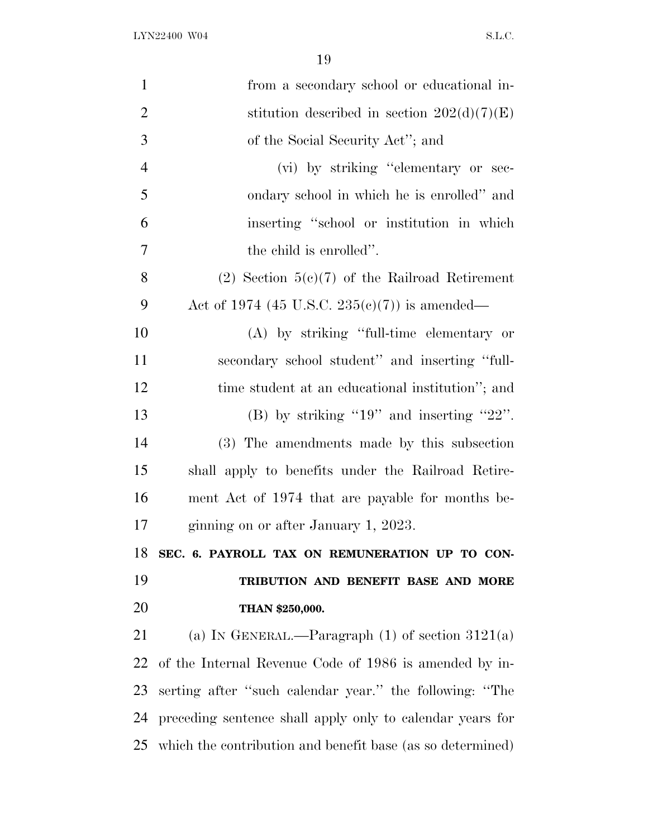| $\mathbf{1}$   | from a secondary school or educational in-                 |
|----------------|------------------------------------------------------------|
| $\overline{2}$ | stitution described in section $202(d)(7)(E)$              |
| 3              | of the Social Security Act"; and                           |
| $\overline{4}$ | (vi) by striking "elementary or sec-                       |
| 5              | ondary school in which he is enrolled" and                 |
| 6              | inserting "school or institution in which                  |
| 7              | the child is enrolled".                                    |
| 8              | $(2)$ Section 5(c)(7) of the Railroad Retirement           |
| 9              | Act of 1974 (45 U.S.C. 235(c)(7)) is amended—              |
| 10             | (A) by striking "full-time elementary or                   |
| 11             | secondary school student" and inserting "full-             |
| 12             | time student at an educational institution"; and           |
| 13             | (B) by striking "19" and inserting "22".                   |
| 14             | (3) The amendments made by this subsection                 |
| 15             | shall apply to benefits under the Railroad Retire-         |
| 16             | ment Act of 1974 that are payable for months be-           |
| 17             | ginning on or after January 1, 2023.                       |
| 18             | SEC. 6. PAYROLL TAX ON REMUNERATION UP TO CON-             |
| 19             | TRIBUTION AND BENEFIT BASE AND MORE                        |
| 20             | THAN \$250,000.                                            |
| 21             | (a) IN GENERAL.—Paragraph $(1)$ of section 3121(a)         |
| 22             | of the Internal Revenue Code of 1986 is amended by in-     |
| 23             | serting after "such calendar year." the following: "The    |
| 24             | preceding sentence shall apply only to calendar years for  |
| 25             | which the contribution and benefit base (as so determined) |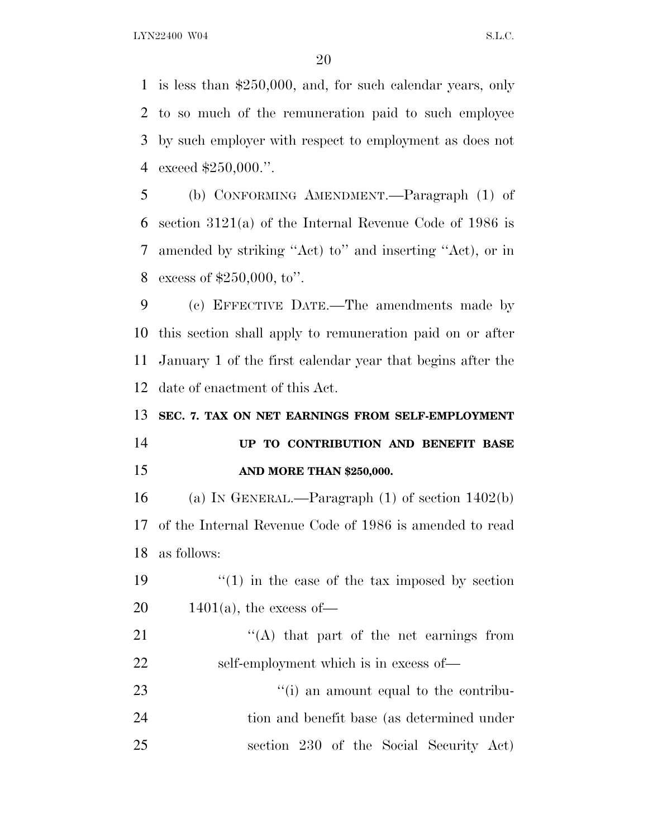is less than \$250,000, and, for such calendar years, only to so much of the remuneration paid to such employee by such employer with respect to employment as does not exceed \$250,000.''.

 (b) CONFORMING AMENDMENT.—Paragraph (1) of section 3121(a) of the Internal Revenue Code of 1986 is amended by striking ''Act) to'' and inserting ''Act), or in excess of \$250,000, to''.

 (c) EFFECTIVE DATE.—The amendments made by this section shall apply to remuneration paid on or after January 1 of the first calendar year that begins after the date of enactment of this Act.

**SEC. 7. TAX ON NET EARNINGS FROM SELF-EMPLOYMENT**

### **UP TO CONTRIBUTION AND BENEFIT BASE AND MORE THAN \$250,000.**

 (a) I<sup>N</sup> GENERAL.—Paragraph (1) of section 1402(b) of the Internal Revenue Code of 1986 is amended to read as follows:

19  $\frac{1}{2}$  (1) in the case of the tax imposed by section 20  $1401(a)$ , the excess of

21 "'(A) that part of the net earnings from self-employment which is in excess of—

23  $\frac{1}{1}$  an amount equal to the contribu- tion and benefit base (as determined under section 230 of the Social Security Act)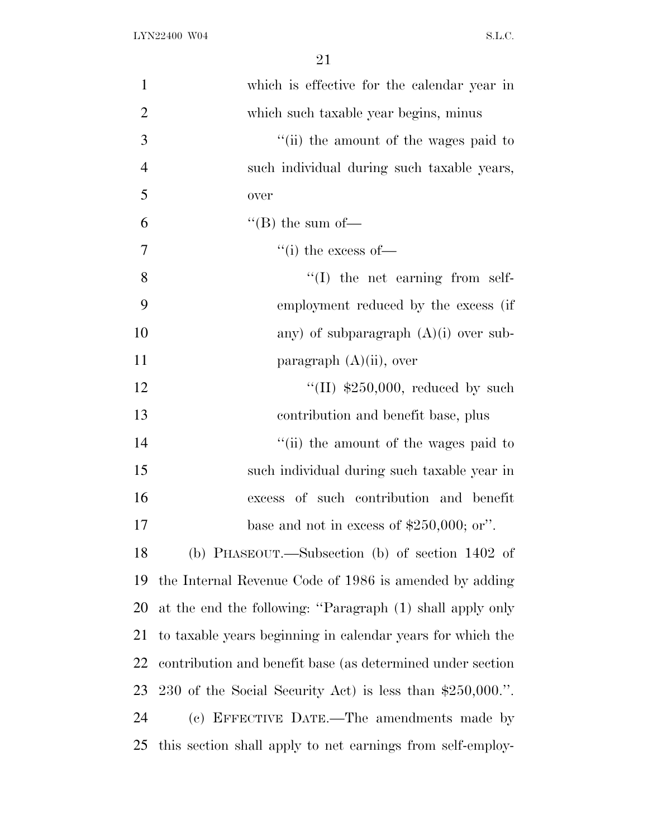| $\mathbf{1}$   | which is effective for the calendar year in                |
|----------------|------------------------------------------------------------|
| $\overline{2}$ | which such taxable year begins, minus                      |
| 3              | "(ii) the amount of the wages paid to                      |
| $\overline{4}$ | such individual during such taxable years,                 |
| 5              | over                                                       |
| 6              | "(B) the sum of $-$                                        |
| 7              | "(i) the excess of $-$                                     |
| 8              | $\lq\lq$ (I) the net earning from self-                    |
| 9              | employment reduced by the excess (if                       |
| 10             | any) of subparagraph $(A)(i)$ over sub-                    |
| 11             | paragraph $(A)(ii)$ , over                                 |
| 12             | "(II) $$250,000$ , reduced by such                         |
| 13             | contribution and benefit base, plus                        |
| 14             | "(ii) the amount of the wages paid to                      |
| 15             | such individual during such taxable year in                |
| 16             | excess of such contribution and benefit                    |
| 17             | base and not in excess of $$250,000$ ; or".                |
| 18             | (b) PHASEOUT.—Subsection (b) of section $1402$ of          |
| 19             | the Internal Revenue Code of 1986 is amended by adding     |
| 20             | at the end the following: "Paragraph (1) shall apply only  |
| 21             | to taxable years beginning in calendar years for which the |
| 22             | contribution and benefit base (as determined under section |
| 23             | 230 of the Social Security Act) is less than \$250,000.".  |
| 24             | (c) EFFECTIVE DATE.—The amendments made by                 |
| 25             | this section shall apply to net earnings from self-employ- |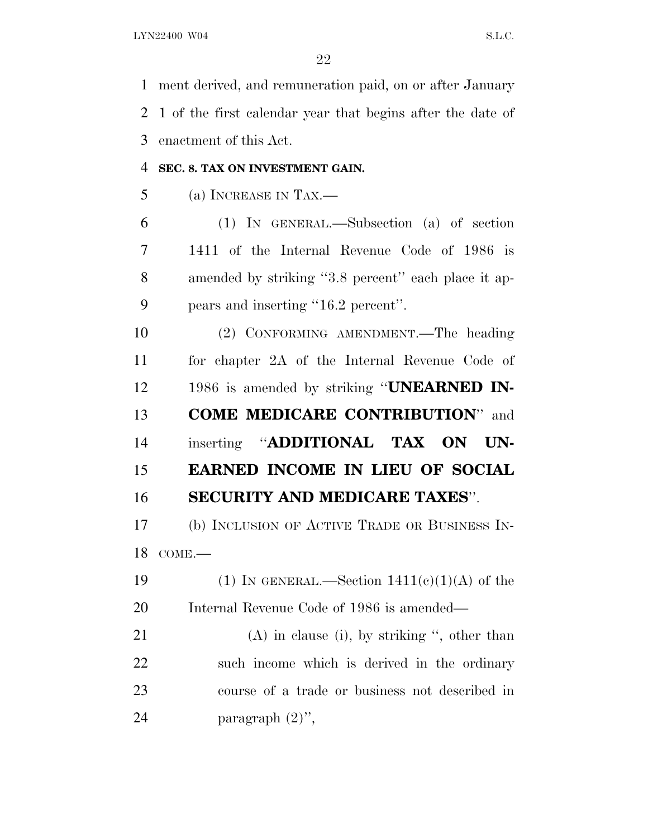ment derived, and remuneration paid, on or after January 1 of the first calendar year that begins after the date of enactment of this Act.

### **SEC. 8. TAX ON INVESTMENT GAIN.**

(a) INCREASE IN TAX.—

 (1) IN GENERAL.—Subsection (a) of section 1411 of the Internal Revenue Code of 1986 is amended by striking ''3.8 percent'' each place it ap-pears and inserting ''16.2 percent''.

 (2) CONFORMING AMENDMENT.—The heading for chapter 2A of the Internal Revenue Code of 1986 is amended by striking ''**UNEARNED IN- COME MEDICARE CONTRIBUTION**'' and inserting ''**ADDITIONAL TAX ON UN- EARNED INCOME IN LIEU OF SOCIAL SECURITY AND MEDICARE TAXES**''.

 (b) INCLUSION OF ACTIVE TRADE OR BUSINESS IN-COME.—

19 (1) IN GENERAL.—Section  $1411(c)(1)(A)$  of the Internal Revenue Code of 1986 is amended—

 (A) in clause (i), by striking '', other than such income which is derived in the ordinary course of a trade or business not described in paragraph (2)'',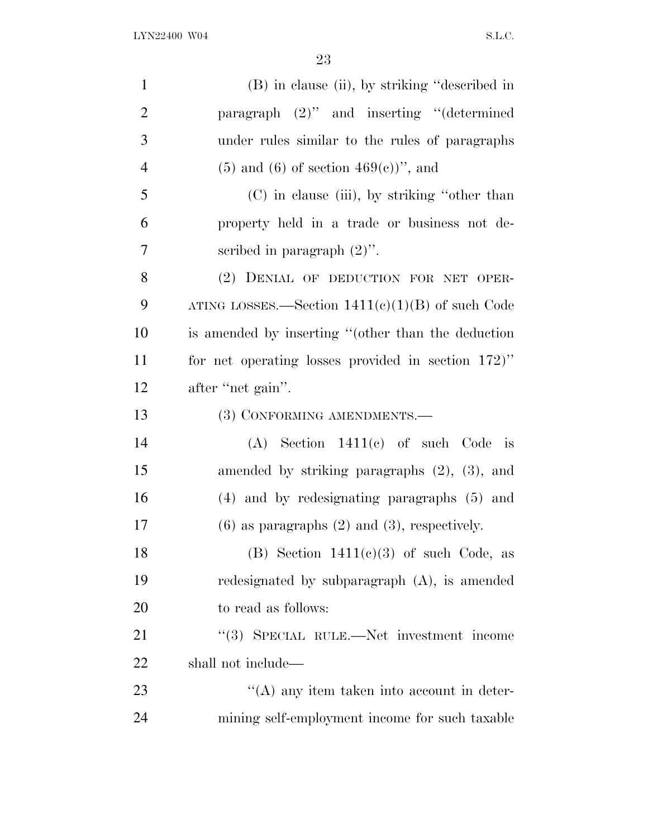| $\mathbf{1}$   | (B) in clause (ii), by striking "described in         |
|----------------|-------------------------------------------------------|
| $\overline{2}$ | paragraph $(2)$ " and inserting "(determined          |
| 3              | under rules similar to the rules of paragraphs        |
| $\overline{4}$ | $(5)$ and $(6)$ of section $469(e)$ , and             |
| 5              | (C) in clause (iii), by striking "other than          |
| 6              | property held in a trade or business not de-          |
| 7              | scribed in paragraph $(2)$ ".                         |
| 8              | (2) DENIAL OF DEDUCTION FOR NET OPER-                 |
| 9              | ATING LOSSES.—Section $1411(c)(1)(B)$ of such Code    |
| 10             | is amended by inserting "(other than the deduction    |
| 11             | for net operating losses provided in section $172$ )" |
| 12             | after "net gain".                                     |
| 13             | (3) CONFORMING AMENDMENTS.-                           |
| 14             | $(A)$ Section 1411 $(e)$ of such Code is              |
| 15             | amended by striking paragraphs $(2)$ , $(3)$ , and    |
| 16             | (4) and by redesignating paragraphs (5) and           |
| 17             | $(6)$ as paragraphs $(2)$ and $(3)$ , respectively.   |
| 18             | (B) Section $1411(c)(3)$ of such Code, as             |
| 19             | redesignated by subparagraph (A), is amended          |
| 20             | to read as follows:                                   |
| 21             | "(3) SPECIAL RULE.—Net investment income              |
| 22             | shall not include—                                    |
| 23             | $\lq\lq$ any item taken into account in deter-        |
| 24             | mining self-employment income for such taxable        |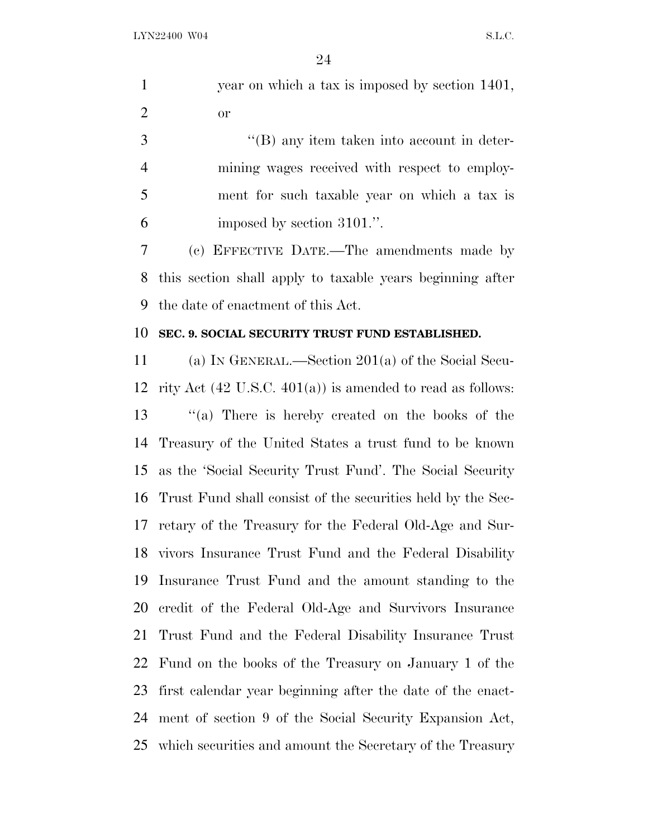year on which a tax is imposed by section 1401, or

3 ''(B) any item taken into account in deter- mining wages received with respect to employ- ment for such taxable year on which a tax is imposed by section 3101.''.

 (c) EFFECTIVE DATE.—The amendments made by this section shall apply to taxable years beginning after the date of enactment of this Act.

#### **SEC. 9. SOCIAL SECURITY TRUST FUND ESTABLISHED.**

 (a) I<sup>N</sup> GENERAL.—Section 201(a) of the Social Secu-12 rity Act  $(42 \text{ U.S.C. } 401(a))$  is amended to read as follows: ''(a) There is hereby created on the books of the Treasury of the United States a trust fund to be known as the 'Social Security Trust Fund'. The Social Security Trust Fund shall consist of the securities held by the Sec- retary of the Treasury for the Federal Old-Age and Sur- vivors Insurance Trust Fund and the Federal Disability Insurance Trust Fund and the amount standing to the credit of the Federal Old-Age and Survivors Insurance Trust Fund and the Federal Disability Insurance Trust Fund on the books of the Treasury on January 1 of the first calendar year beginning after the date of the enact- ment of section 9 of the Social Security Expansion Act, which securities and amount the Secretary of the Treasury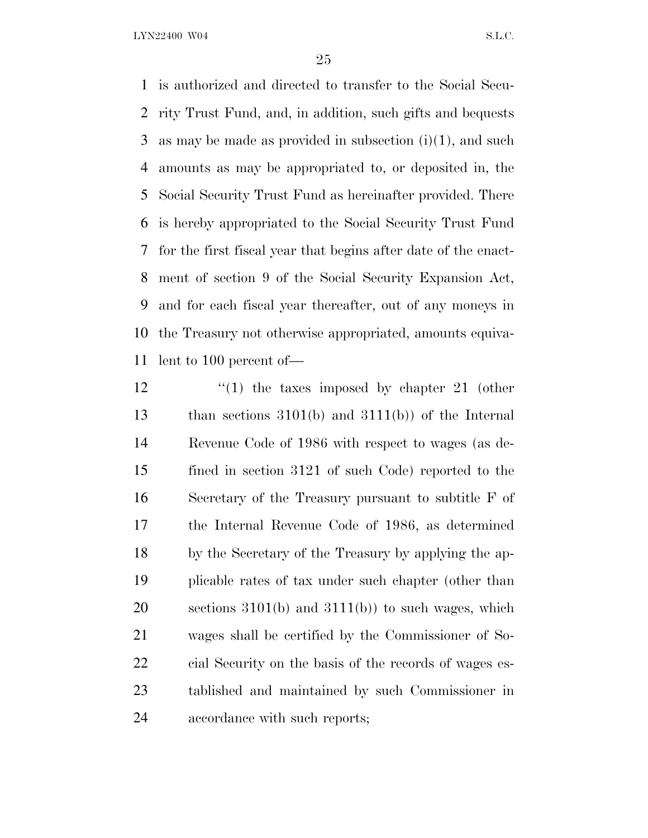is authorized and directed to transfer to the Social Secu- rity Trust Fund, and, in addition, such gifts and bequests as may be made as provided in subsection (i)(1), and such amounts as may be appropriated to, or deposited in, the Social Security Trust Fund as hereinafter provided. There is hereby appropriated to the Social Security Trust Fund for the first fiscal year that begins after date of the enact- ment of section 9 of the Social Security Expansion Act, and for each fiscal year thereafter, out of any moneys in the Treasury not otherwise appropriated, amounts equiva-lent to 100 percent of—

12 ''(1) the taxes imposed by chapter 21 (other than sections 3101(b) and 3111(b)) of the Internal Revenue Code of 1986 with respect to wages (as de- fined in section 3121 of such Code) reported to the Secretary of the Treasury pursuant to subtitle F of the Internal Revenue Code of 1986, as determined by the Secretary of the Treasury by applying the ap- plicable rates of tax under such chapter (other than sections 3101(b) and 3111(b)) to such wages, which wages shall be certified by the Commissioner of So- cial Security on the basis of the records of wages es- tablished and maintained by such Commissioner in accordance with such reports;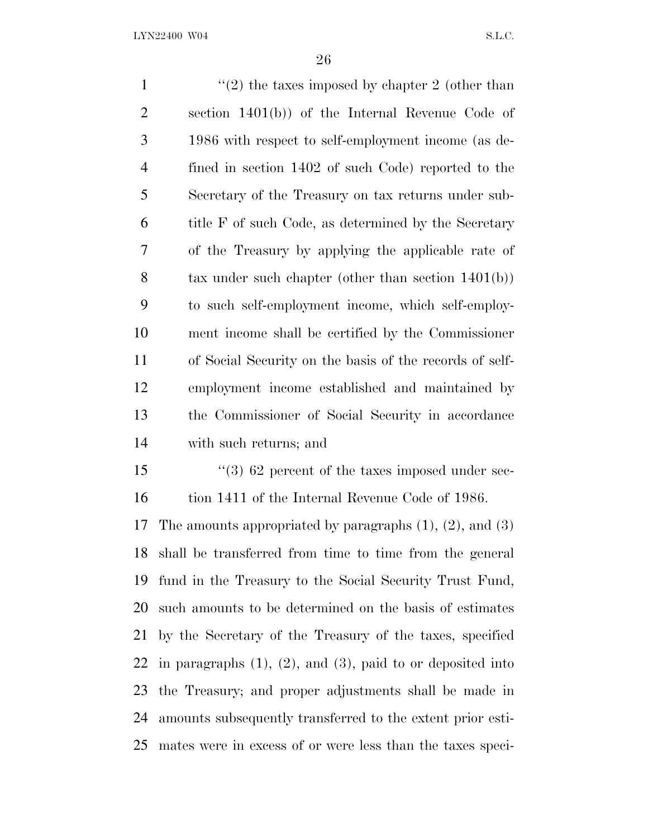$\frac{1}{2}$  the taxes imposed by chapter 2 (other than section 1401(b)) of the Internal Revenue Code of 1986 with respect to self-employment income (as de- fined in section 1402 of such Code) reported to the Secretary of the Treasury on tax returns under sub- title F of such Code, as determined by the Secretary of the Treasury by applying the applicable rate of tax under such chapter (other than section 1401(b)) to such self-employment income, which self-employ- ment income shall be certified by the Commissioner of Social Security on the basis of the records of self- employment income established and maintained by the Commissioner of Social Security in accordance with such returns; and 15 ''(3) 62 percent of the taxes imposed under sec-16 tion 1411 of the Internal Revenue Code of 1986. The amounts appropriated by paragraphs (1), (2), and (3) shall be transferred from time to time from the general fund in the Treasury to the Social Security Trust Fund, such amounts to be determined on the basis of estimates by the Secretary of the Treasury of the taxes, specified 22 in paragraphs  $(1)$ ,  $(2)$ , and  $(3)$ , paid to or deposited into the Treasury; and proper adjustments shall be made in amounts subsequently transferred to the extent prior esti-

mates were in excess of or were less than the taxes speci-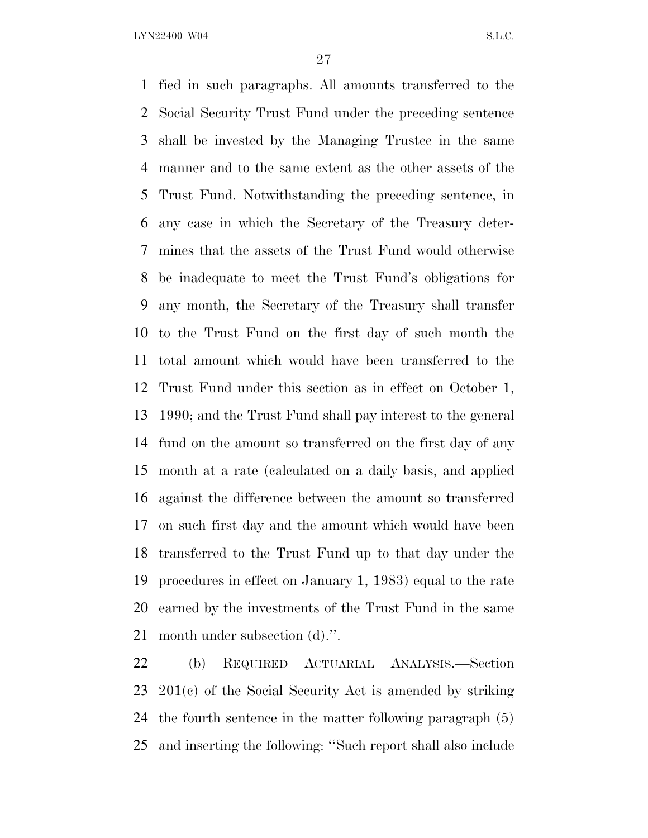fied in such paragraphs. All amounts transferred to the Social Security Trust Fund under the preceding sentence shall be invested by the Managing Trustee in the same manner and to the same extent as the other assets of the Trust Fund. Notwithstanding the preceding sentence, in any case in which the Secretary of the Treasury deter- mines that the assets of the Trust Fund would otherwise be inadequate to meet the Trust Fund's obligations for any month, the Secretary of the Treasury shall transfer to the Trust Fund on the first day of such month the total amount which would have been transferred to the Trust Fund under this section as in effect on October 1, 1990; and the Trust Fund shall pay interest to the general fund on the amount so transferred on the first day of any month at a rate (calculated on a daily basis, and applied against the difference between the amount so transferred on such first day and the amount which would have been transferred to the Trust Fund up to that day under the procedures in effect on January 1, 1983) equal to the rate earned by the investments of the Trust Fund in the same month under subsection (d).''.

 (b) REQUIRED ACTUARIAL ANALYSIS.—Section 201(c) of the Social Security Act is amended by striking the fourth sentence in the matter following paragraph (5) and inserting the following: ''Such report shall also include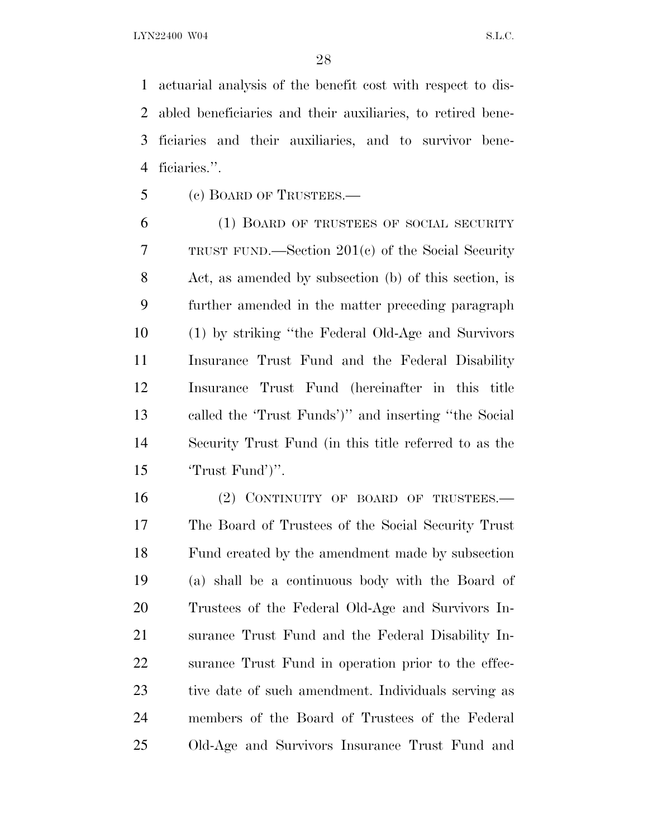actuarial analysis of the benefit cost with respect to dis- abled beneficiaries and their auxiliaries, to retired bene- ficiaries and their auxiliaries, and to survivor bene-ficiaries.''.

(c) BOARD OF TRUSTEES.—

 (1) BOARD OF TRUSTEES OF SOCIAL SECURITY TRUST FUND.—Section 201(c) of the Social Security Act, as amended by subsection (b) of this section, is further amended in the matter preceding paragraph (1) by striking ''the Federal Old-Age and Survivors Insurance Trust Fund and the Federal Disability Insurance Trust Fund (hereinafter in this title called the 'Trust Funds')'' and inserting ''the Social Security Trust Fund (in this title referred to as the 'Trust Fund')''.

16 (2) CONTINUITY OF BOARD OF TRUSTEES. The Board of Trustees of the Social Security Trust Fund created by the amendment made by subsection (a) shall be a continuous body with the Board of Trustees of the Federal Old-Age and Survivors In- surance Trust Fund and the Federal Disability In- surance Trust Fund in operation prior to the effec- tive date of such amendment. Individuals serving as members of the Board of Trustees of the Federal Old-Age and Survivors Insurance Trust Fund and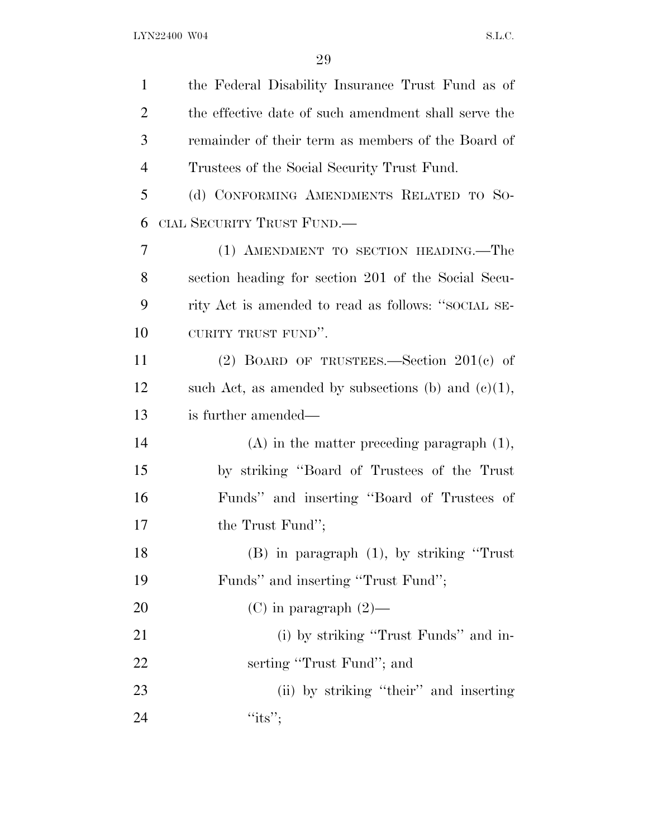| $\mathbf{1}$   | the Federal Disability Insurance Trust Fund as of      |
|----------------|--------------------------------------------------------|
| $\overline{2}$ | the effective date of such amendment shall serve the   |
| 3              | remainder of their term as members of the Board of     |
| $\overline{4}$ | Trustees of the Social Security Trust Fund.            |
| 5              | (d) CONFORMING AMENDMENTS RELATED TO SO-               |
| 6              | CIAL SECURITY TRUST FUND.—                             |
| 7              | (1) AMENDMENT TO SECTION HEADING.—The                  |
| 8              | section heading for section 201 of the Social Secu-    |
| 9              | rity Act is amended to read as follows: "SOCIAL SE-    |
| 10             | CURITY TRUST FUND".                                    |
| 11             | (2) BOARD OF TRUSTEES.—Section $201(c)$ of             |
| 12             | such Act, as amended by subsections (b) and $(e)(1)$ , |
| 13             | is further amended—                                    |
| 14             | $(A)$ in the matter preceding paragraph $(1)$ ,        |
| 15             | by striking "Board of Trustees of the Trust            |
| 16             | Funds" and inserting "Board of Trustees of             |
| 17             | the Trust Fund";                                       |
| 18             | $(B)$ in paragraph $(1)$ , by striking "Trust"         |
| 19             | Funds" and inserting "Trust Fund";                     |
| 20             | (C) in paragraph $(2)$ —                               |
| 21             | (i) by striking "Trust Funds" and in-                  |
| 22             | serting "Trust Fund"; and                              |
| 23             | (ii) by striking "their" and inserting                 |
| 24             | "its";                                                 |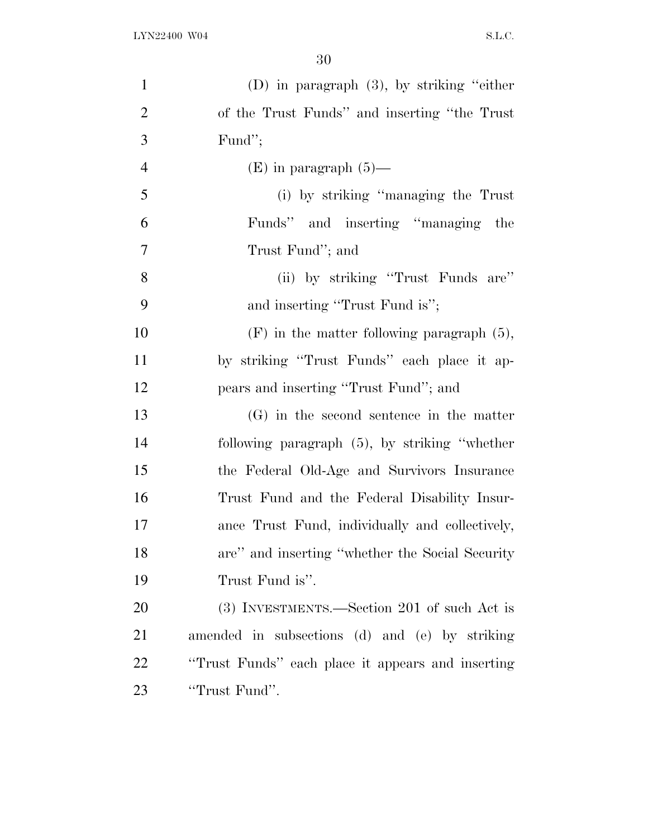| $\mathbf{1}$   | (D) in paragraph $(3)$ , by striking "either"     |
|----------------|---------------------------------------------------|
| $\overline{2}$ | of the Trust Funds" and inserting "the Trust"     |
| 3              | Fund";                                            |
| $\overline{4}$ | $(E)$ in paragraph $(5)$ —                        |
| 5              | (i) by striking "managing the Trust"              |
| 6              | Funds" and inserting "managing the                |
| 7              | Trust Fund"; and                                  |
| 8              | (ii) by striking "Trust Funds are"                |
| 9              | and inserting "Trust Fund is";                    |
| 10             | $(F)$ in the matter following paragraph $(5)$ ,   |
| 11             | by striking "Trust Funds" each place it ap-       |
| 12             | pears and inserting "Trust Fund"; and             |
| 13             | $(G)$ in the second sentence in the matter        |
| 14             | following paragraph $(5)$ , by striking "whether  |
| 15             | the Federal Old-Age and Survivors Insurance       |
| 16             | Trust Fund and the Federal Disability Insur-      |
| 17             | ance Trust Fund, individually and collectively,   |
| 18             | are" and inserting "whether the Social Security"  |
| 19             | Trust Fund is".                                   |
| 20             | (3) INVESTMENTS.—Section 201 of such Act is       |
| 21             | amended in subsections (d) and (e) by striking    |
| 22             | "Trust Funds" each place it appears and inserting |
| 23             | "Trust Fund".                                     |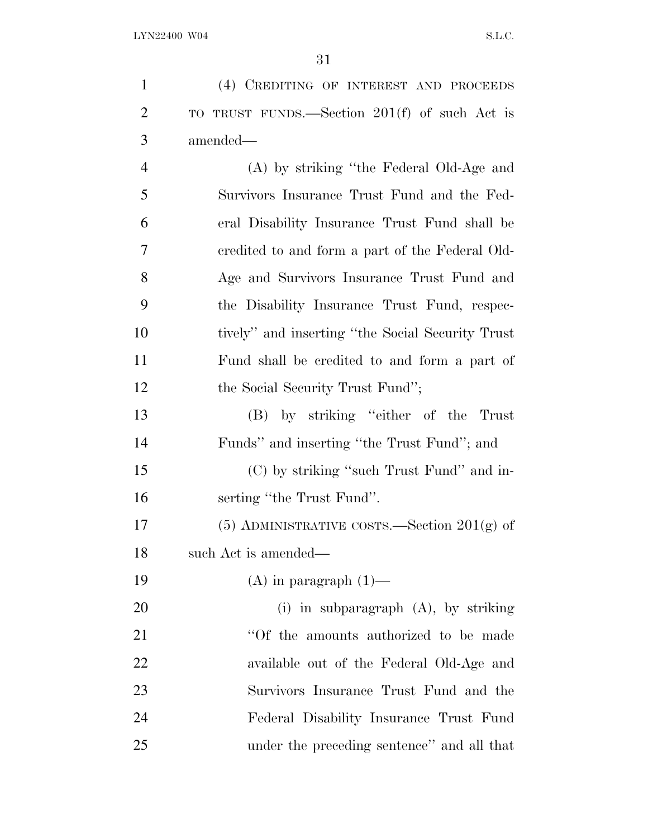| $\mathbf{1}$   | (4) CREDITING OF INTEREST AND PROCEEDS            |
|----------------|---------------------------------------------------|
| $\overline{2}$ | TO TRUST FUNDS.—Section 201(f) of such Act is     |
| 3              | amended—                                          |
| $\overline{4}$ | (A) by striking "the Federal Old-Age and          |
| 5              | Survivors Insurance Trust Fund and the Fed-       |
| 6              | eral Disability Insurance Trust Fund shall be     |
| 7              | credited to and form a part of the Federal Old-   |
| 8              | Age and Survivors Insurance Trust Fund and        |
| 9              | the Disability Insurance Trust Fund, respec-      |
| 10             | tively" and inserting "the Social Security Trust" |
| 11             | Fund shall be credited to and form a part of      |
| 12             | the Social Security Trust Fund";                  |
| 13             | (B) by striking "either of the<br>Trust           |
| 14             | Funds" and inserting "the Trust Fund"; and        |
| 15             | (C) by striking "such Trust Fund" and in-         |
| 16             | serting "the Trust Fund".                         |
| 17             | $(5)$ ADMINISTRATIVE COSTS.—Section $201(g)$ of   |
| 18             | such Act is amended—                              |
| 19             | $(A)$ in paragraph $(1)$ —                        |
| 20             | $(i)$ in subparagraph $(A)$ , by striking         |
| 21             | "Of the amounts authorized to be made             |
| 22             | available out of the Federal Old-Age and          |
| 23             | Survivors Insurance Trust Fund and the            |
| 24             | Federal Disability Insurance Trust Fund           |
| 25             | under the preceding sentence" and all that        |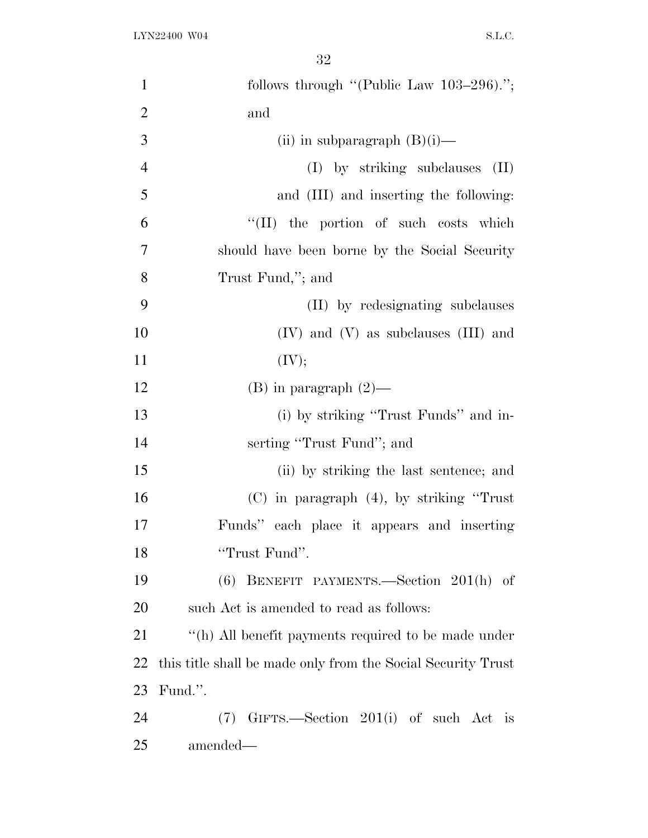| $\mathbf{1}$   | follows through "(Public Law $103-296$ ).";                  |
|----------------|--------------------------------------------------------------|
| $\overline{2}$ | and                                                          |
| 3              | (ii) in subparagraph $(B)(i)$ —                              |
| $\overline{4}$ | (I) by striking subclauses<br>$(\Pi)$                        |
| 5              | and (III) and inserting the following:                       |
| 6              | "(II) the portion of such costs which                        |
| 7              | should have been borne by the Social Security                |
| 8              | Trust Fund,"; and                                            |
| 9              | (II) by redesignating subclauses                             |
| 10             | $(IV)$ and $(V)$ as subclauses $(III)$ and                   |
| 11             | (IV);                                                        |
| 12             | $(B)$ in paragraph $(2)$ —                                   |
| 13             | (i) by striking "Trust Funds" and in-                        |
| 14             | serting "Trust Fund"; and                                    |
| 15             | (ii) by striking the last sentence; and                      |
| 16             | $(C)$ in paragraph $(4)$ , by striking "Trust"               |
| 17             | Funds" each place it appears and inserting                   |
| 18             | "Trust Fund".                                                |
| 19             | BENEFIT PAYMENTS.—Section 201(h) of<br>(6)                   |
| 20             | such Act is amended to read as follows:                      |
| 21             | "(h) All benefit payments required to be made under          |
| 22             | this title shall be made only from the Social Security Trust |
| 23             | Fund.".                                                      |
| 24             | $(7)$ GIFTS.—Section 201(i) of such Act is                   |
| 25             | amended—                                                     |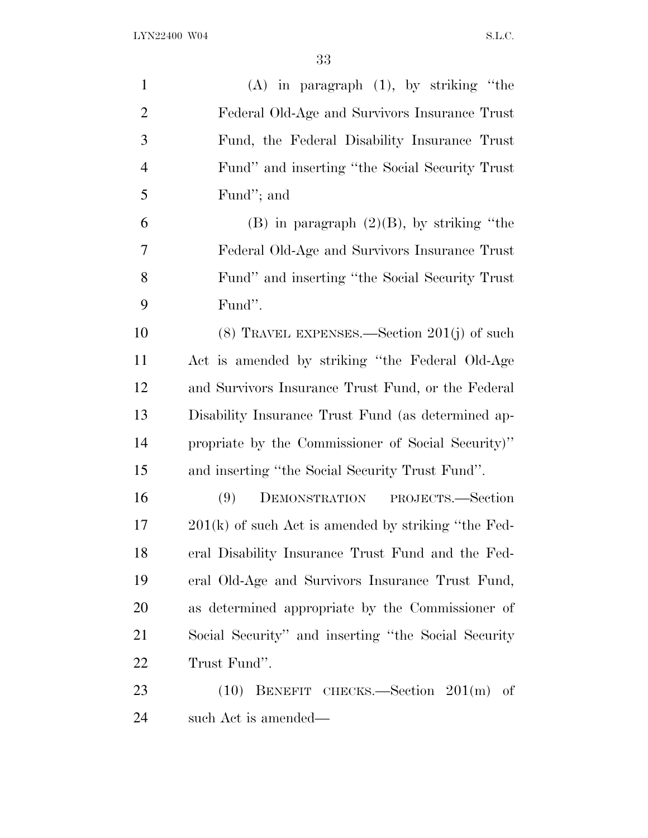| $\mathbf{1}$   | $(A)$ in paragraph $(1)$ , by striking "the           |
|----------------|-------------------------------------------------------|
| $\overline{2}$ | Federal Old-Age and Survivors Insurance Trust         |
| 3              | Fund, the Federal Disability Insurance Trust          |
| $\overline{4}$ | Fund" and inserting "the Social Security Trust"       |
| 5              | Fund"; and                                            |
| 6              | $(B)$ in paragraph $(2)(B)$ , by striking "the        |
| 7              | Federal Old-Age and Survivors Insurance Trust         |
| 8              | Fund" and inserting "the Social Security Trust"       |
| 9              | Fund".                                                |
| 10             | $(8)$ TRAVEL EXPENSES.—Section 201(j) of such         |
| 11             | Act is amended by striking "the Federal Old-Age       |
| 12             | and Survivors Insurance Trust Fund, or the Federal    |
| 13             | Disability Insurance Trust Fund (as determined ap-    |
| 14             | propriate by the Commissioner of Social Security)"    |
| 15             | and inserting "the Social Security Trust Fund".       |
| 16             | DEMONSTRATION PROJECTS.—Section<br>(9)                |
| 17             | $201(k)$ of such Act is amended by striking "the Fed- |
| 18             | eral Disability Insurance Trust Fund and the Fed-     |
| 19             | eral Old-Age and Survivors Insurance Trust Fund,      |
| 20             | as determined appropriate by the Commissioner of      |
| 21             | Social Security" and inserting "the Social Security"  |
| 22             | Trust Fund".                                          |
| 23             | $(10)$ BENEFIT CHECKS.—Section $201(m)$ of            |
| 24             | such Act is amended—                                  |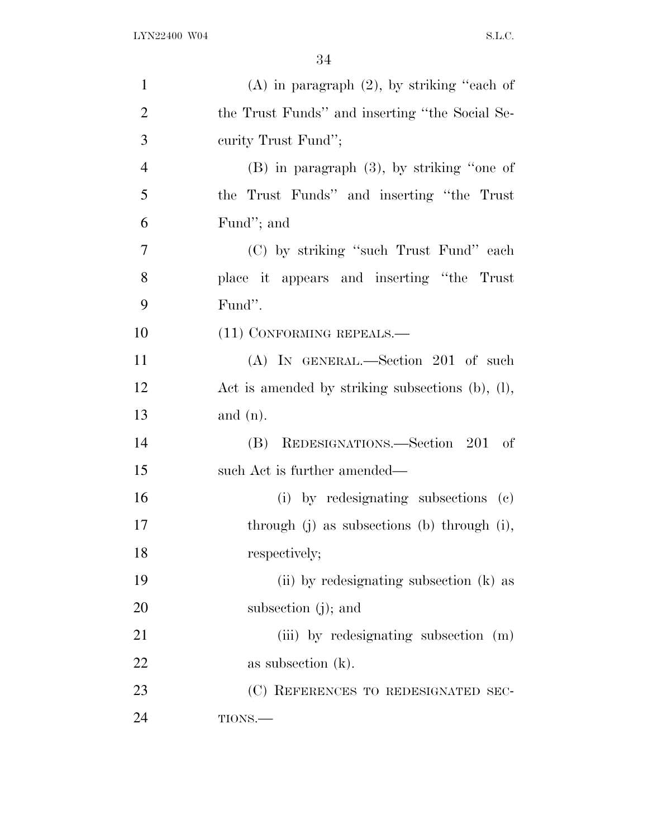| $\mathbf{1}$   | $(A)$ in paragraph $(2)$ , by striking "each of  |
|----------------|--------------------------------------------------|
| $\overline{2}$ | the Trust Funds" and inserting "the Social Se-   |
| 3              | curity Trust Fund";                              |
| $\overline{4}$ | $(B)$ in paragraph $(3)$ , by striking "one of   |
| 5              | the Trust Funds" and inserting "the Trust        |
| 6              | Fund"; and                                       |
| $\overline{7}$ | (C) by striking "such Trust Fund" each           |
| 8              | place it appears and inserting "the Trust"       |
| 9              | Fund".                                           |
| 10             | $(11)$ CONFORMING REPEALS.—                      |
| 11             | (A) IN GENERAL.—Section 201 of such              |
| 12             | Act is amended by striking subsections (b), (l), |
| 13             | and $(n)$ .                                      |
| 14             | REDESIGNATIONS.—Section 201 of<br>(B)            |
| 15             | such Act is further amended—                     |
| 16             | (i) by redesignating subsections (c)             |
| 17             | through (j) as subsections (b) through (i),      |
| 18             | respectively;                                    |
| 19             | (ii) by redesignating subsection (k) as          |
| 20             | subsection $(j)$ ; and                           |
| 21             | (iii) by redesignating subsection (m)            |
| 22             | as subsection $(k)$ .                            |
| 23             | (C) REFERENCES TO REDESIGNATED SEC-              |
| 24             | TIONS.                                           |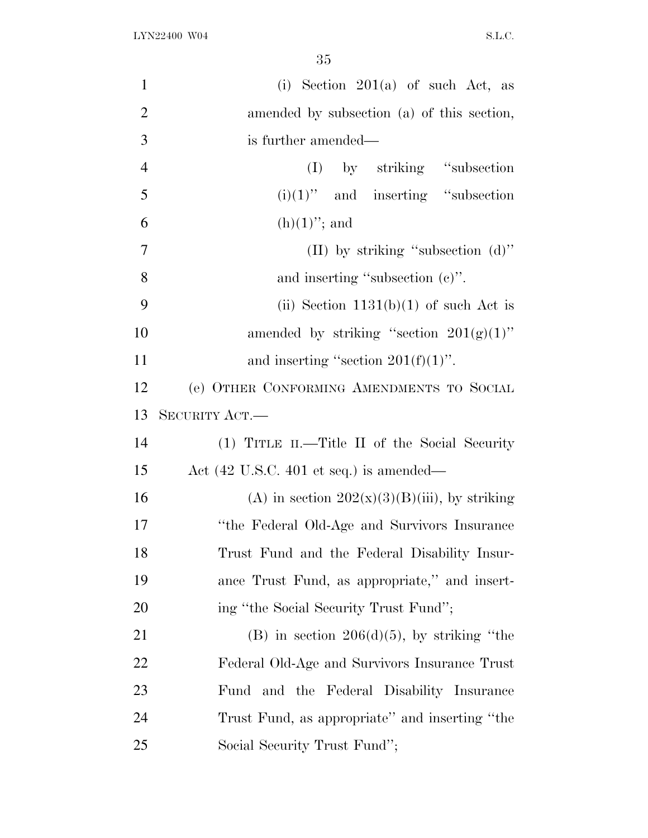| $\mathbf{1}$   | (i) Section $201(a)$ of such Act, as             |
|----------------|--------------------------------------------------|
| $\overline{2}$ | amended by subsection (a) of this section,       |
| 3              | is further amended—                              |
| $\overline{4}$ | (I) by striking "subsection                      |
| 5              | $(i)(1)$ " and inserting "subsection"            |
| 6              | $(h)(1)$ "; and                                  |
| $\overline{7}$ | (II) by striking "subsection $(d)$ "             |
| 8              | and inserting "subsection $(e)$ ".               |
| 9              | (ii) Section $1131(b)(1)$ of such Act is         |
| 10             | amended by striking "section $201(g)(1)$ "       |
| 11             | and inserting "section $201(f)(1)$ ".            |
| 12             | (e) OTHER CONFORMING AMENDMENTS TO SOCIAL        |
| 13             | SECURITY ACT.-                                   |
| 14             | (1) TITLE II.—Title II of the Social Security    |
| 15             | Act (42 U.S.C. 401 et seq.) is amended—          |
| 16             | (A) in section $202(x)(3)(B)(iii)$ , by striking |
| 17             | "the Federal Old-Age and Survivors Insurance     |
| 18             | Trust Fund and the Federal Disability Insur-     |
| 19             | ance Trust Fund, as appropriate," and insert-    |
| 20             | ing "the Social Security Trust Fund";            |
| 21             | (B) in section $206(d)(5)$ , by striking "the    |
| 22             | Federal Old-Age and Survivors Insurance Trust    |
| 23             | Fund and the Federal Disability Insurance        |
| 24             | Trust Fund, as appropriate" and inserting "the   |
| 25             | Social Security Trust Fund";                     |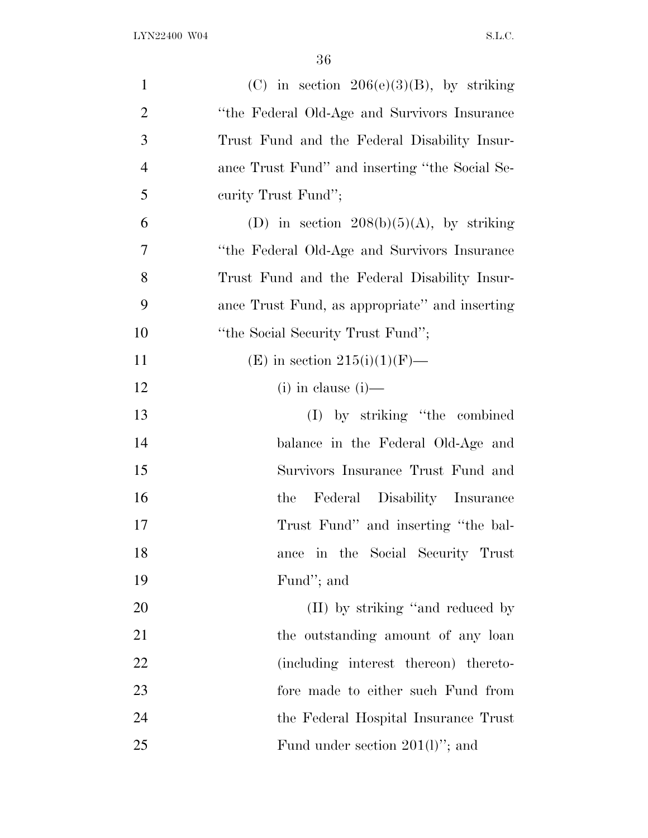| $\mathbf{1}$   | (C) in section $206(e)(3)(B)$ , by striking    |
|----------------|------------------------------------------------|
| $\overline{2}$ | "the Federal Old-Age and Survivors Insurance"  |
| 3              | Trust Fund and the Federal Disability Insur-   |
| $\overline{4}$ | ance Trust Fund" and inserting "the Social Se- |
| 5              | curity Trust Fund";                            |
| 6              | (D) in section $208(b)(5)(A)$ , by striking    |
| 7              | "the Federal Old-Age and Survivors Insurance   |
| 8              | Trust Fund and the Federal Disability Insur-   |
| 9              | ance Trust Fund, as appropriate" and inserting |
| 10             | "the Social Security Trust Fund";              |
| 11             | (E) in section $215(i)(1)(F)$ —                |
| 12             | $(i)$ in clause $(i)$ —                        |
| 13             | (I) by striking "the combined                  |
| 14             | balance in the Federal Old-Age and             |
| 15             | Survivors Insurance Trust Fund and             |
| 16             | the Federal Disability Insurance               |
| 17             | Trust Fund" and inserting "the bal-            |
| 18             | in the Social Security Trust<br>ance           |
| 19             | Fund"; and                                     |
| 20             | (II) by striking "and reduced by               |
| 21             | the outstanding amount of any loan             |
| 22             | (including interest thereon) thereto-          |
| 23             | fore made to either such Fund from             |
| 24             | the Federal Hospital Insurance Trust           |
| 25             | Fund under section $201(1)$ "; and             |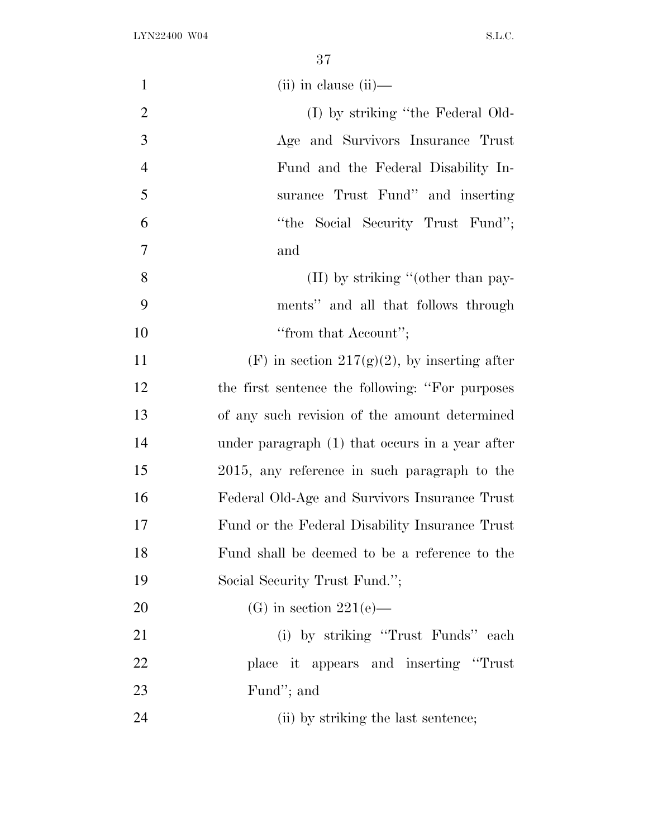| $\mathbf{1}$   | $(ii)$ in clause $(ii)$ —                        |
|----------------|--------------------------------------------------|
| $\overline{2}$ | (I) by striking "the Federal Old-                |
| 3              | Age and Survivors Insurance Trust                |
| $\overline{4}$ | Fund and the Federal Disability In-              |
| 5              | surance Trust Fund" and inserting                |
| 6              | "the Social Security Trust Fund";                |
| 7              | and                                              |
| 8              | $(II)$ by striking "(other than pay-             |
| 9              | ments" and all that follows through              |
| 10             | "from that Account";                             |
| 11             | (F) in section 217(g)(2), by inserting after     |
| 12             | the first sentence the following: "For purposes" |
| 13             | of any such revision of the amount determined    |
| 14             | under paragraph (1) that occurs in a year after  |
| 15             | 2015, any reference in such paragraph to the     |
| 16             | Federal Old-Age and Survivors Insurance Trust    |
| 17             | Fund or the Federal Disability Insurance Trust   |
| 18             | Fund shall be deemed to be a reference to the    |
| 19             | Social Security Trust Fund.";                    |
| 20             | (G) in section $221(e)$ —                        |
| 21             | (i) by striking "Trust Funds" each               |
| 22             | place it appears and inserting "Trust"           |
| 23             | Fund"; and                                       |
| 24             | (ii) by striking the last sentence;              |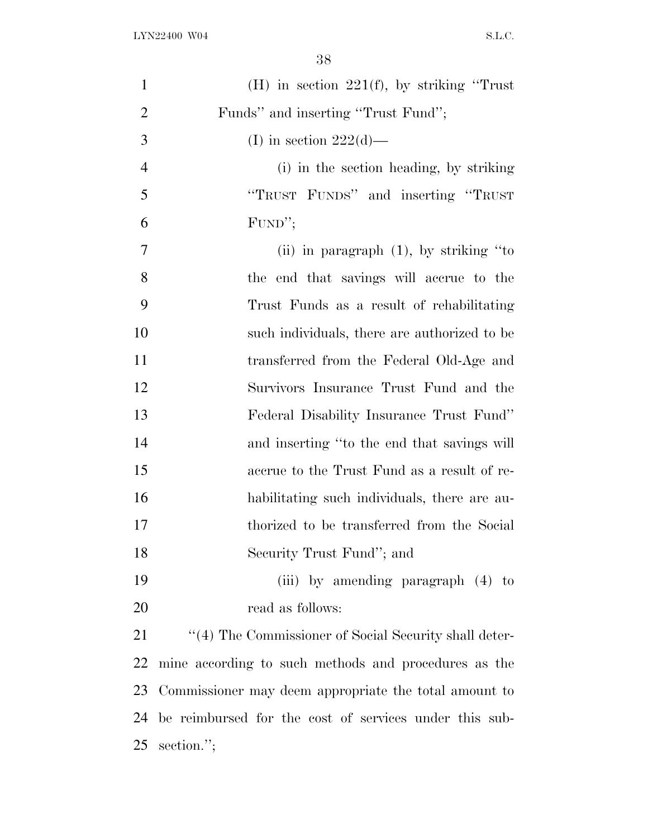| $\mathbf{1}$   | (H) in section $221(f)$ , by striking "Trust"            |
|----------------|----------------------------------------------------------|
| $\overline{2}$ | Funds" and inserting "Trust Fund";                       |
| 3              | (I) in section $222(d)$ —                                |
| $\overline{4}$ | (i) in the section heading, by striking                  |
| 5              | "TRUST FUNDS" and inserting "TRUST                       |
| 6              | FUND";                                                   |
| $\tau$         | (ii) in paragraph $(1)$ , by striking "to                |
| 8              | the end that savings will accrue to the                  |
| 9              | Trust Funds as a result of rehabilitating                |
| 10             | such individuals, there are authorized to be             |
| 11             | transferred from the Federal Old-Age and                 |
| 12             | Survivors Insurance Trust Fund and the                   |
| 13             | Federal Disability Insurance Trust Fund"                 |
| 14             | and inserting "to the end that savings will              |
| 15             | accrue to the Trust Fund as a result of re-              |
| 16             | habilitating such individuals, there are au-             |
| 17             | thorized to be transferred from the Social               |
| 18             | Security Trust Fund"; and                                |
| 19             | (iii) by amending paragraph (4) to                       |
| 20             | read as follows:                                         |
| 21             | $``(4)$ The Commissioner of Social Security shall deter- |
| 22             | mine according to such methods and procedures as the     |
| 23             | Commissioner may deem appropriate the total amount to    |
| 24             | be reimbursed for the cost of services under this sub-   |
| 25             | section.";                                               |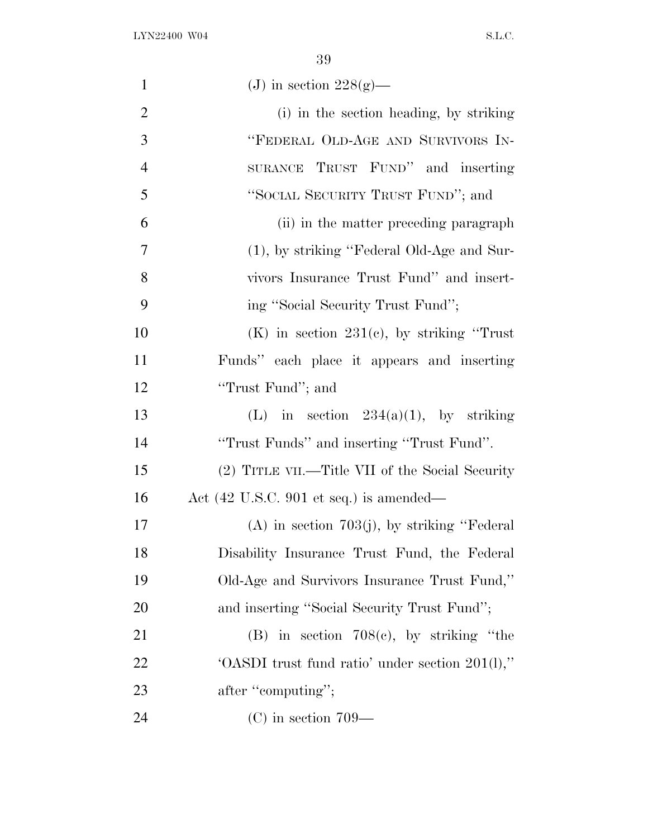| $\mathbf{1}$   | (J) in section $228(g)$ —                       |
|----------------|-------------------------------------------------|
| $\overline{2}$ | (i) in the section heading, by striking         |
| 3              | "FEDERAL OLD-AGE AND SURVIVORS IN-              |
| $\overline{4}$ | SURANCE TRUST FUND" and inserting               |
| 5              | "SOCIAL SECURITY TRUST FUND"; and               |
| 6              | (ii) in the matter preceding paragraph          |
| 7              | $(1)$ , by striking "Federal Old-Age and Sur-   |
| 8              | vivors Insurance Trust Fund" and insert-        |
| 9              | ing "Social Security Trust Fund";               |
| 10             | $(K)$ in section 231(c), by striking "Trust"    |
| <sup>11</sup>  | Funds" each place it appears and inserting      |
| 12             | "Trust Fund"; and                               |
| 13             | (L) in section $234(a)(1)$ , by striking        |
| 14             | "Trust Funds" and inserting "Trust Fund".       |
| 15             | (2) TITLE VII.—Title VII of the Social Security |
| 16             | Act (42 U.S.C. 901 et seq.) is amended—         |
| 17             | $(A)$ in section 703(j), by striking "Federal   |
| 18             | Disability Insurance Trust Fund, the Federal    |
| 19             | Old-Age and Survivors Insurance Trust Fund,"    |
| 20             | and inserting "Social Security Trust Fund";     |
| 21             | (B) in section $708(e)$ , by striking "the      |
| 22             | 'OASDI trust fund ratio' under section 201(l)," |
| 23             | after "computing";                              |
| 24             | $(C)$ in section 709—                           |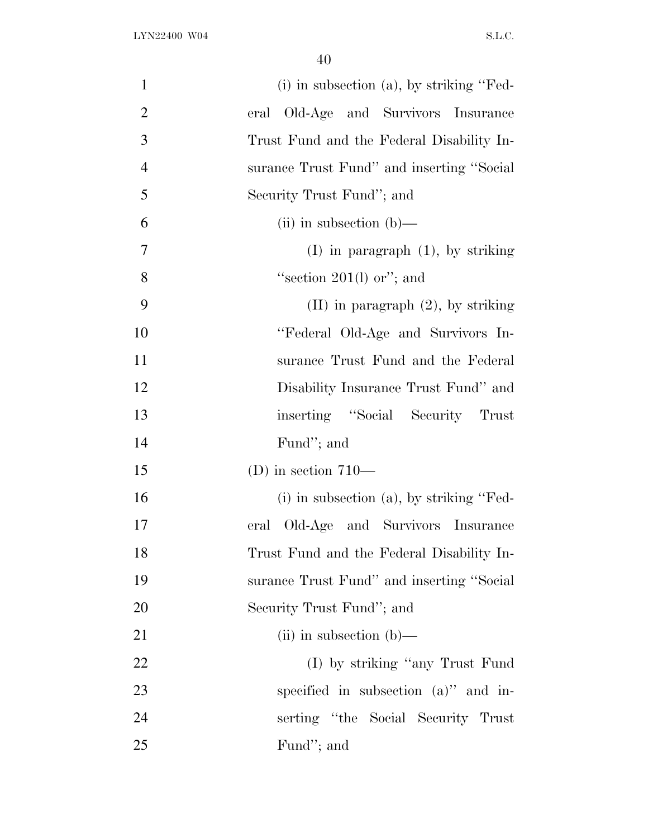| $\mathbf{1}$   | $(i)$ in subsection $(a)$ , by striking "Fed- |
|----------------|-----------------------------------------------|
| $\mathbf{2}$   | eral Old-Age and Survivors Insurance          |
| 3              | Trust Fund and the Federal Disability In-     |
| $\overline{4}$ | surance Trust Fund" and inserting "Social     |
| 5              | Security Trust Fund"; and                     |
| 6              | $(ii)$ in subsection $(b)$ —                  |
| $\overline{7}$ | $(I)$ in paragraph $(1)$ , by striking        |
| 8              | "section $201(1)$ or"; and                    |
| 9              | $(II)$ in paragraph $(2)$ , by striking       |
| 10             | "Federal Old-Age and Survivors In-            |
| 11             | surance Trust Fund and the Federal            |
| 12             | Disability Insurance Trust Fund" and          |
| 13             | inserting "Social Security Trust              |
| 14             | Fund"; and                                    |
| 15             | (D) in section $710-$                         |
| 16             | $(i)$ in subsection $(a)$ , by striking "Fed- |
| 17             | Old-Age and Survivors Insurance<br>eral       |
| 18             | Trust Fund and the Federal Disability In-     |
| 19             | surance Trust Fund" and inserting "Social     |
| 20             | Security Trust Fund"; and                     |
| 21             | $(ii)$ in subsection $(b)$ —                  |
| 22             | (I) by striking "any Trust Fund"              |
| 23             | specified in subsection $(a)$ " and in-       |
| 24             | serting "the Social Security Trust"           |
| 25             | Fund"; and                                    |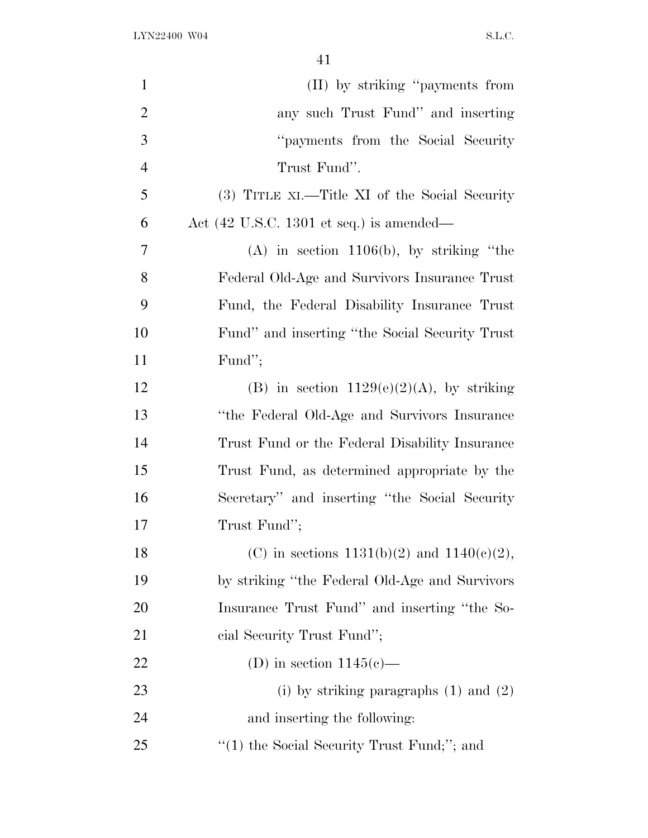| $\mathbf{1}$   | (II) by striking "payments from                             |
|----------------|-------------------------------------------------------------|
| $\overline{2}$ | any such Trust Fund" and inserting                          |
| 3              | "payments from the Social Security"                         |
| $\overline{4}$ | Trust Fund".                                                |
| 5              | (3) TITLE XI.—Title XI of the Social Security               |
| 6              | Act $(42 \text{ U.S.C. } 1301 \text{ et seq.})$ is amended— |
| 7              | $(A)$ in section 1106(b), by striking "the                  |
| 8              | Federal Old-Age and Survivors Insurance Trust               |
| 9              | Fund, the Federal Disability Insurance Trust                |
| 10             | Fund" and inserting "the Social Security Trust"             |
| 11             | Fund";                                                      |
| 12             | (B) in section $1129(e)(2)(A)$ , by striking                |
| 13             | "the Federal Old-Age and Survivors Insurance                |
| 14             | Trust Fund or the Federal Disability Insurance              |
| 15             | Trust Fund, as determined appropriate by the                |
| 16             | Secretary" and inserting "the Social Security"              |
| 17             | Trust Fund";                                                |
| 18             | (C) in sections $1131(b)(2)$ and $1140(c)(2)$ ,             |
| 19             | by striking "the Federal Old-Age and Survivors"             |
| <b>20</b>      | Insurance Trust Fund" and inserting "the So-                |
| 21             | cial Security Trust Fund";                                  |
| 22             | (D) in section $1145(e)$ —                                  |
| 23             | (i) by striking paragraphs $(1)$ and $(2)$                  |
| 24             | and inserting the following:                                |
| 25             | "(1) the Social Security Trust Fund;"; and                  |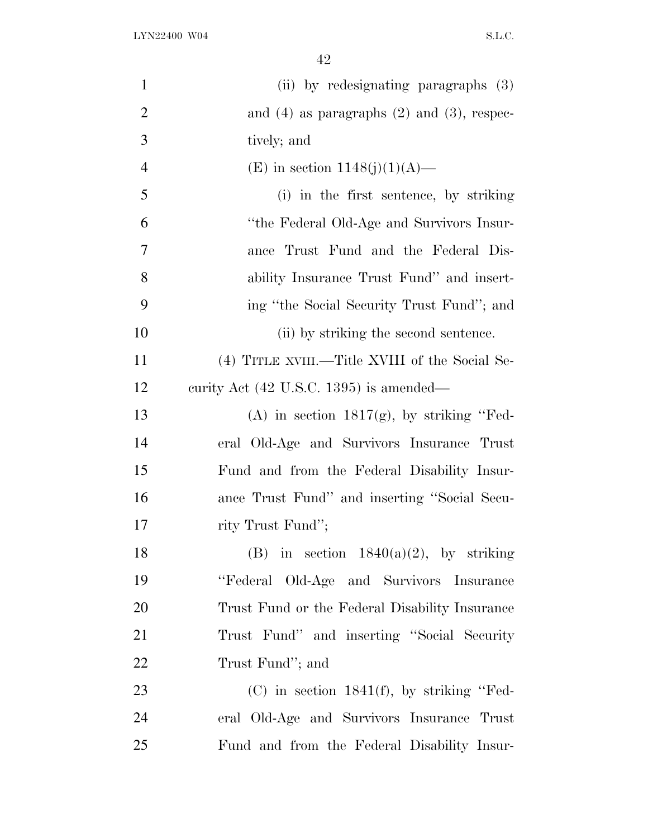| $\mathbf{1}$   | (ii) by redesignating paragraphs (3)               |
|----------------|----------------------------------------------------|
| $\overline{2}$ | and $(4)$ as paragraphs $(2)$ and $(3)$ , respec-  |
| 3              | tively; and                                        |
| $\overline{4}$ | (E) in section $1148(j)(1)(A)$ —                   |
| 5              | (i) in the first sentence, by striking             |
| 6              | "the Federal Old-Age and Survivors Insur-          |
| 7              | ance Trust Fund and the Federal Dis-               |
| 8              | ability Insurance Trust Fund" and insert-          |
| 9              | ing "the Social Security Trust Fund"; and          |
| 10             | (ii) by striking the second sentence.              |
| 11             | (4) TITLE XVIII.—Title XVIII of the Social Se-     |
| 12             | curity Act $(42 \text{ U.S.C. } 1395)$ is amended— |
| 13             | (A) in section $1817(g)$ , by striking "Fed-       |
| 14             | eral Old-Age and Survivors Insurance Trust         |
| 15             | Fund and from the Federal Disability Insur-        |
| 16             | ance Trust Fund" and inserting "Social Secu-       |
| 17             | rity Trust Fund";                                  |
| 18             | (B) in section $1840(a)(2)$ , by striking          |
| 19             | "Federal Old-Age and Survivors Insurance           |
| 20             | Trust Fund or the Federal Disability Insurance     |
| 21             | Trust Fund" and inserting "Social Security"        |
| 22             | Trust Fund"; and                                   |
| 23             | $(C)$ in section 1841(f), by striking "Fed-        |
| 24             | eral Old-Age and Survivors Insurance Trust         |
| 25             | Fund and from the Federal Disability Insur-        |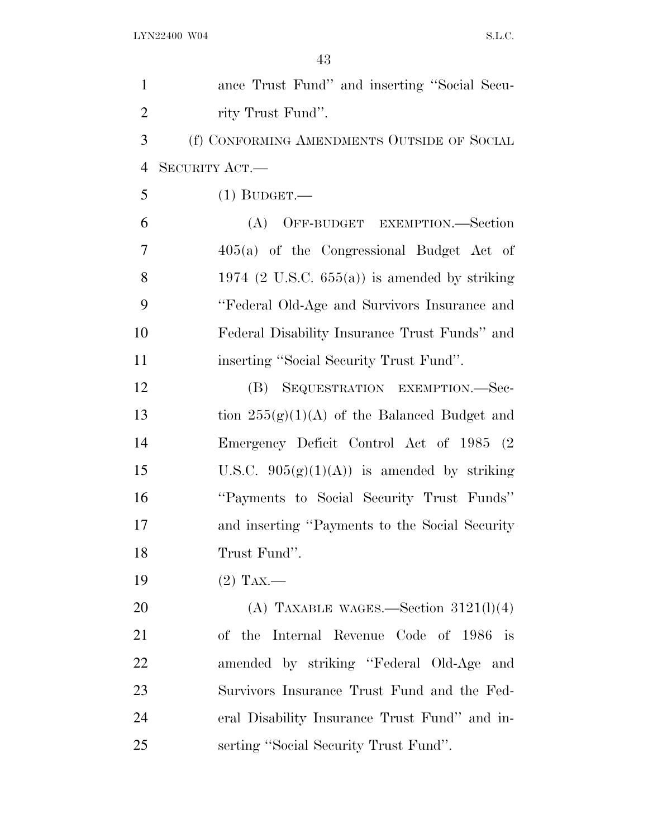| $\mathbf{1}$   | ance Trust Fund" and inserting "Social Secu-     |
|----------------|--------------------------------------------------|
| $\overline{2}$ | rity Trust Fund".                                |
| 3              | (f) CONFORMING AMENDMENTS OUTSIDE OF SOCIAL      |
| $\overline{4}$ | SECURITY ACT.-                                   |
| 5              | $(1)$ BUDGET.—                                   |
| 6              | (A) OFF-BUDGET EXEMPTION.—Section                |
| 7              | $405(a)$ of the Congressional Budget Act of      |
| 8              | 1974 (2 U.S.C. $655(a)$ ) is amended by striking |
| 9              | "Federal Old-Age and Survivors Insurance and     |
| 10             | Federal Disability Insurance Trust Funds" and    |
| 11             | inserting "Social Security Trust Fund".          |
| 12             | (B) SEQUESTRATION EXEMPTION.-Sec-                |
| 13             | tion $255(g)(1)(A)$ of the Balanced Budget and   |
| 14             | Emergency Deficit Control Act of 1985 (2)        |
| 15             | U.S.C. $905(g)(1)(A)$ is amended by striking     |
| 16             | "Payments to Social Security Trust Funds"        |
| 17             | and inserting "Payments to the Social Security"  |
| 18             | Trust Fund".                                     |
| 19             | $(2)$ Tax.—                                      |
| 20             | (A) TAXABLE WAGES.—Section $3121(l)(4)$          |
| 21             | of the Internal Revenue Code of 1986 is          |
| 22             | amended by striking "Federal Old-Age and         |
| 23             | Survivors Insurance Trust Fund and the Fed-      |
| 24             | eral Disability Insurance Trust Fund" and in-    |
| 25             | serting "Social Security Trust Fund".            |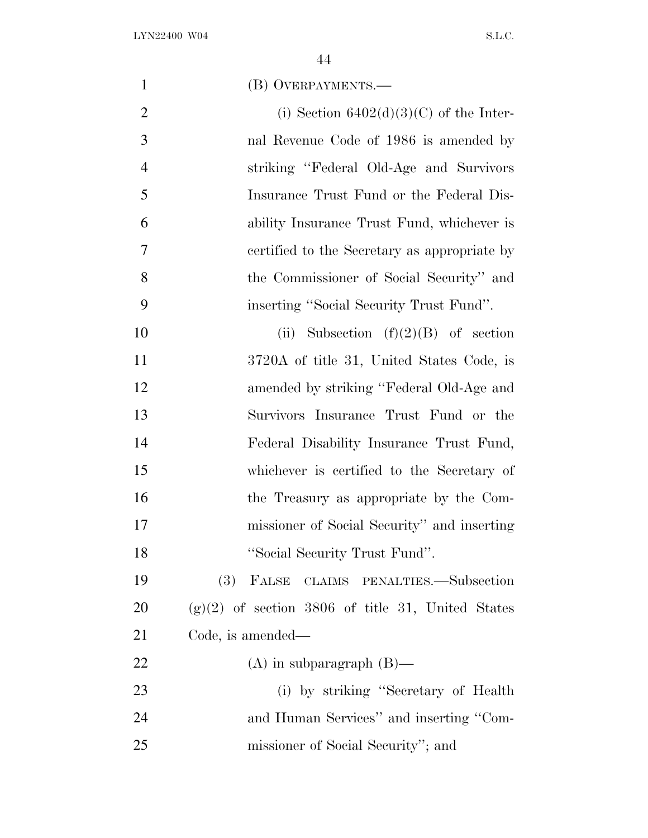| $\mathbf{1}$   | (B) OVERPAYMENTS.—                                  |
|----------------|-----------------------------------------------------|
| $\overline{2}$ | (i) Section $6402(d)(3)(C)$ of the Inter-           |
| 3              | nal Revenue Code of 1986 is amended by              |
| $\overline{4}$ | striking "Federal Old-Age and Survivors"            |
| 5              | Insurance Trust Fund or the Federal Dis-            |
| 6              | ability Insurance Trust Fund, whichever is          |
| 7              | certified to the Secretary as appropriate by        |
| 8              | the Commissioner of Social Security" and            |
| 9              | inserting "Social Security Trust Fund".             |
| 10             | Subsection $(f)(2)(B)$ of section<br>(ii)           |
| 11             | 3720A of title 31, United States Code, is           |
| 12             | amended by striking "Federal Old-Age and            |
| 13             | Survivors Insurance Trust Fund or the               |
| 14             | Federal Disability Insurance Trust Fund,            |
| 15             | whichever is certified to the Secretary of          |
| 16             | the Treasury as appropriate by the Com-             |
| 17             | missioner of Social Security" and inserting         |
| 18             | "Social Security Trust Fund".                       |
| 19             | $(3)$ FALSE<br>CLAIMS PENALTIES.—Subsection         |
| <b>20</b>      | $(g)(2)$ of section 3806 of title 31, United States |
| 21             | Code, is amended—                                   |
| 22             | $(A)$ in subparagraph $(B)$ —                       |
| 23             | (i) by striking "Secretary of Health"               |
| 24             | and Human Services" and inserting "Com-             |
| 25             | missioner of Social Security"; and                  |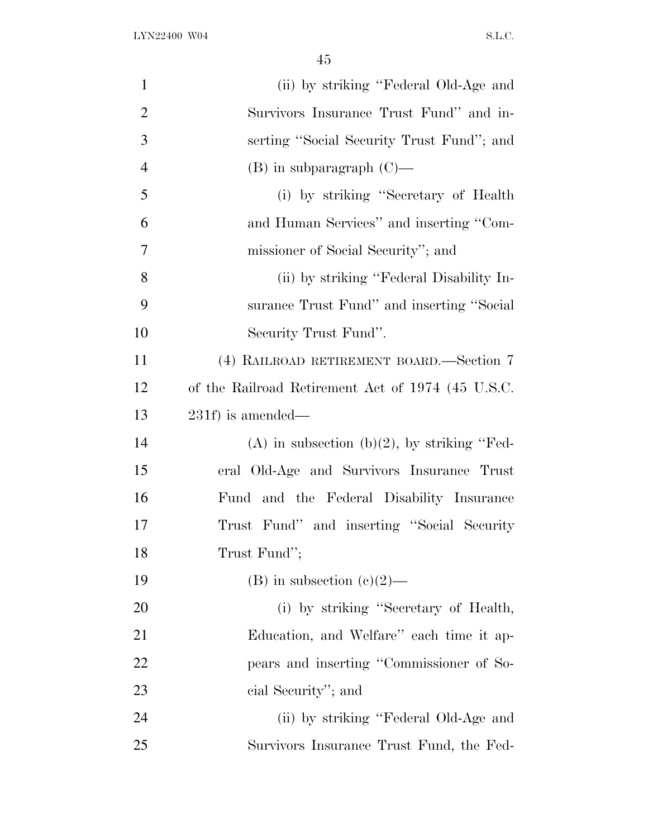| $\mathbf{1}$   | (ii) by striking "Federal Old-Age and             |
|----------------|---------------------------------------------------|
| $\overline{2}$ | Survivors Insurance Trust Fund" and in-           |
| 3              | serting "Social Security Trust Fund"; and         |
| $\overline{4}$ | $(B)$ in subparagraph $(C)$ —                     |
| 5              | (i) by striking "Secretary of Health"             |
| 6              | and Human Services" and inserting "Com-           |
| 7              | missioner of Social Security"; and                |
| 8              | (ii) by striking "Federal Disability In-          |
| 9              | surance Trust Fund" and inserting "Social         |
| 10             | Security Trust Fund".                             |
| 11             | (4) RAILROAD RETIREMENT BOARD.—Section 7          |
| 12             | of the Railroad Retirement Act of 1974 (45 U.S.C. |
| 13             | $231f$ ) is amended—                              |
| 14             | (A) in subsection (b)(2), by striking "Fed-       |
| 15             | eral Old-Age and Survivors Insurance Trust        |
| 16             | Fund and the Federal Disability Insurance         |
| 17             | Trust Fund" and inserting "Social Security        |
| 18             | Trust Fund";                                      |
| 19             | (B) in subsection $(e)(2)$ —                      |
| 20             | (i) by striking "Secretary of Health,             |
| 21             | Education, and Welfare" each time it ap-          |
| 22             | pears and inserting "Commissioner of So-          |
| 23             | cial Security"; and                               |
| 24             | (ii) by striking "Federal Old-Age and             |
| 25             | Survivors Insurance Trust Fund, the Fed-          |